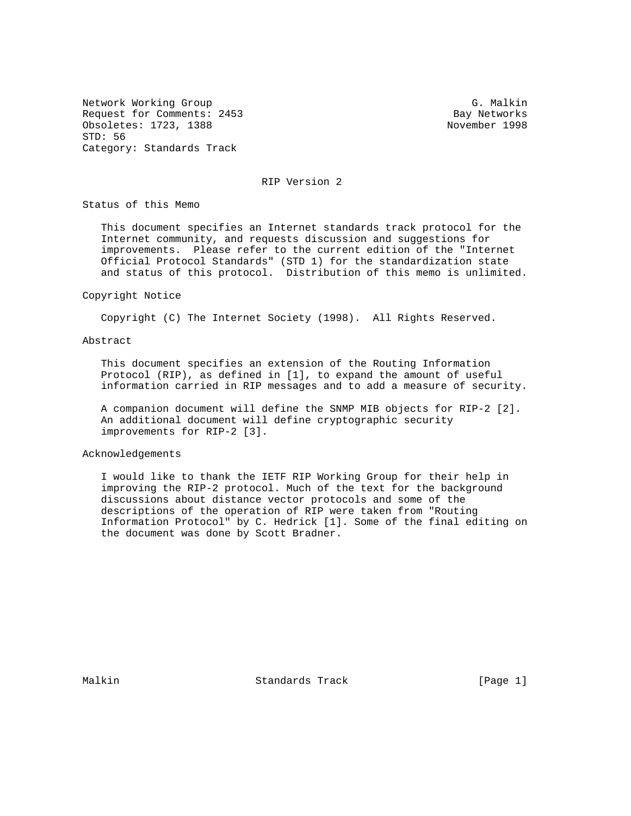Network Working Group G. Malkin G. Malkin Request for Comments: 2453 Bay Networks Obsoletes: 1723, 1388 November 1998 STD: 56 Category: Standards Track

RIP Version 2

Status of this Memo

 This document specifies an Internet standards track protocol for the Internet community, and requests discussion and suggestions for improvements. Please refer to the current edition of the "Internet Official Protocol Standards" (STD 1) for the standardization state and status of this protocol. Distribution of this memo is unlimited.

#### Copyright Notice

Copyright (C) The Internet Society (1998). All Rights Reserved.

# Abstract

 This document specifies an extension of the Routing Information Protocol (RIP), as defined in [1], to expand the amount of useful information carried in RIP messages and to add a measure of security.

 A companion document will define the SNMP MIB objects for RIP-2 [2]. An additional document will define cryptographic security improvements for RIP-2 [3].

# Acknowledgements

 I would like to thank the IETF RIP Working Group for their help in improving the RIP-2 protocol. Much of the text for the background discussions about distance vector protocols and some of the descriptions of the operation of RIP were taken from "Routing Information Protocol" by C. Hedrick [1]. Some of the final editing on the document was done by Scott Bradner.

Malkin **Standards Track** [Page 1]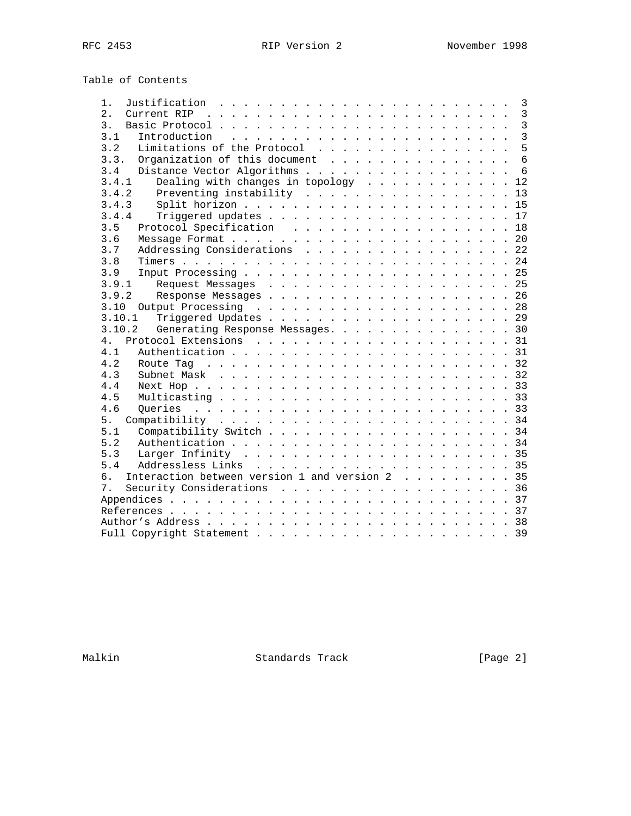Table of Contents

| 1.                                                                                         | $\overline{3}$  |
|--------------------------------------------------------------------------------------------|-----------------|
| 2.                                                                                         | $\mathbf{3}$    |
| 3.                                                                                         | $\overline{3}$  |
| 3.1                                                                                        | $\overline{3}$  |
| Limitations of the Protocol<br>3.2                                                         | 5               |
| Organization of this document<br>3.3.                                                      | $6\overline{6}$ |
| Distance Vector Algorithms<br>3.4                                                          | 6               |
| Dealing with changes in topology 12<br>3.4.1                                               |                 |
| 3.4.2                                                                                      | 13              |
| 3.4.3                                                                                      |                 |
| 3.4.4                                                                                      |                 |
| 3.5<br>Protocol Specification 18                                                           |                 |
| 3.6                                                                                        |                 |
| Addressing Considerations 22<br>3.7                                                        |                 |
| 3.8                                                                                        |                 |
| 3.9                                                                                        |                 |
| 3.9.1                                                                                      |                 |
| 3.9.2                                                                                      |                 |
|                                                                                            |                 |
| 3.10.1                                                                                     |                 |
| Generating Response Messages. 30<br>3.10.2                                                 |                 |
| 4 <sub>1</sub>                                                                             |                 |
| 4.1                                                                                        |                 |
| 4.2                                                                                        |                 |
| 4.3                                                                                        |                 |
| 4.4                                                                                        |                 |
| 4.5                                                                                        |                 |
| 4.6                                                                                        |                 |
| 5.                                                                                         |                 |
| 5.1                                                                                        |                 |
| 5.2                                                                                        |                 |
| Larger Infinity $\ldots \ldots \ldots \ldots \ldots \ldots \ldots \ldots \ldots 35$<br>5.3 |                 |
| 5.4                                                                                        |                 |
| Interaction between version 1 and version 2 35<br>6.                                       |                 |
| Security Considerations 36<br>7 <sub>1</sub>                                               |                 |
|                                                                                            |                 |
|                                                                                            |                 |
|                                                                                            |                 |
|                                                                                            |                 |
|                                                                                            |                 |

Malkin Standards Track [Page 2]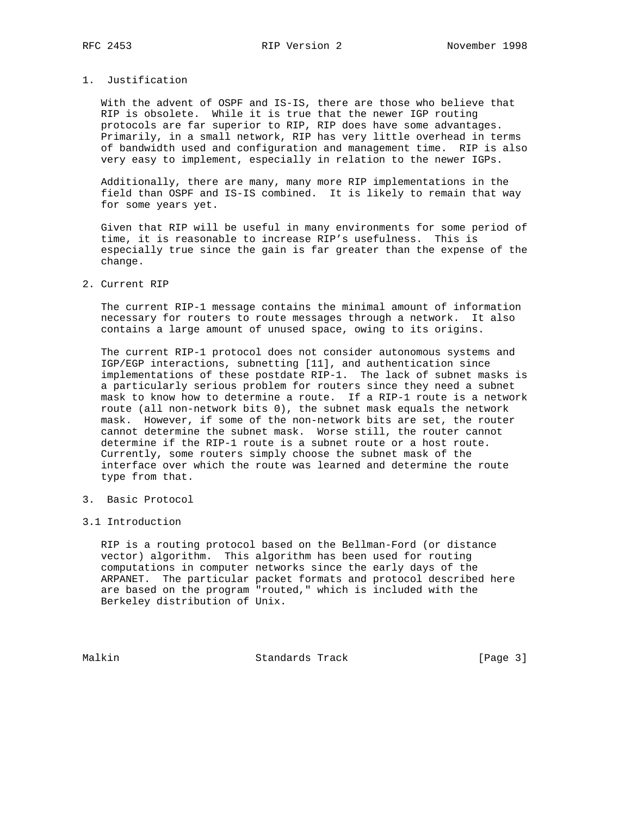# 1. Justification

 With the advent of OSPF and IS-IS, there are those who believe that RIP is obsolete. While it is true that the newer IGP routing protocols are far superior to RIP, RIP does have some advantages. Primarily, in a small network, RIP has very little overhead in terms of bandwidth used and configuration and management time. RIP is also very easy to implement, especially in relation to the newer IGPs.

 Additionally, there are many, many more RIP implementations in the field than OSPF and IS-IS combined. It is likely to remain that way for some years yet.

 Given that RIP will be useful in many environments for some period of time, it is reasonable to increase RIP's usefulness. This is especially true since the gain is far greater than the expense of the change.

# 2. Current RIP

 The current RIP-1 message contains the minimal amount of information necessary for routers to route messages through a network. It also contains a large amount of unused space, owing to its origins.

 The current RIP-1 protocol does not consider autonomous systems and IGP/EGP interactions, subnetting [11], and authentication since implementations of these postdate RIP-1. The lack of subnet masks is a particularly serious problem for routers since they need a subnet mask to know how to determine a route. If a RIP-1 route is a network route (all non-network bits 0), the subnet mask equals the network mask. However, if some of the non-network bits are set, the router cannot determine the subnet mask. Worse still, the router cannot determine if the RIP-1 route is a subnet route or a host route. Currently, some routers simply choose the subnet mask of the interface over which the route was learned and determine the route type from that.

3. Basic Protocol

# 3.1 Introduction

 RIP is a routing protocol based on the Bellman-Ford (or distance vector) algorithm. This algorithm has been used for routing computations in computer networks since the early days of the ARPANET. The particular packet formats and protocol described here are based on the program "routed," which is included with the Berkeley distribution of Unix.

Malkin Standards Track [Page 3]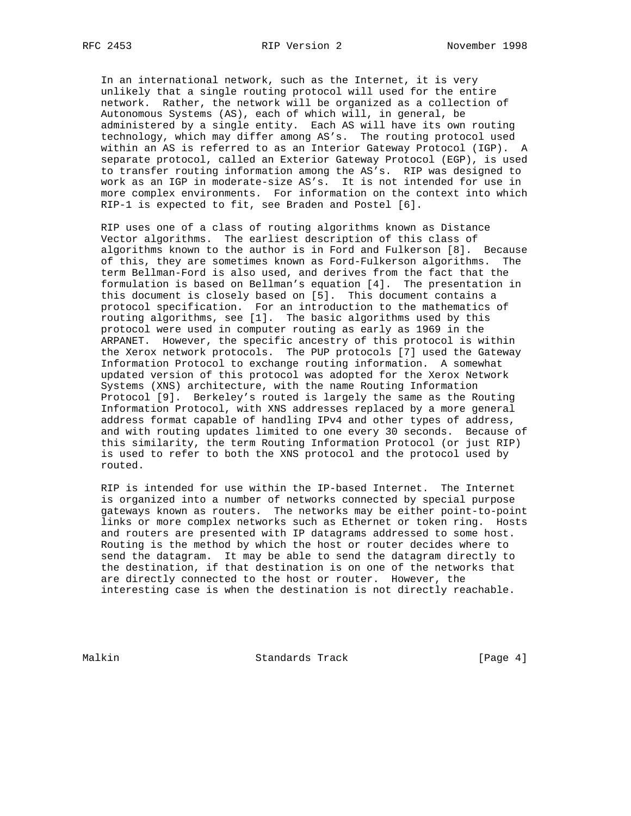In an international network, such as the Internet, it is very unlikely that a single routing protocol will used for the entire network. Rather, the network will be organized as a collection of Autonomous Systems (AS), each of which will, in general, be administered by a single entity. Each AS will have its own routing technology, which may differ among AS's. The routing protocol used within an AS is referred to as an Interior Gateway Protocol (IGP). A separate protocol, called an Exterior Gateway Protocol (EGP), is used to transfer routing information among the AS's. RIP was designed to work as an IGP in moderate-size AS's. It is not intended for use in more complex environments. For information on the context into which RIP-1 is expected to fit, see Braden and Postel [6].

 RIP uses one of a class of routing algorithms known as Distance Vector algorithms. The earliest description of this class of algorithms known to the author is in Ford and Fulkerson [8]. Because of this, they are sometimes known as Ford-Fulkerson algorithms. The term Bellman-Ford is also used, and derives from the fact that the formulation is based on Bellman's equation [4]. The presentation in this document is closely based on [5]. This document contains a protocol specification. For an introduction to the mathematics of routing algorithms, see [1]. The basic algorithms used by this protocol were used in computer routing as early as 1969 in the ARPANET. However, the specific ancestry of this protocol is within the Xerox network protocols. The PUP protocols [7] used the Gateway Information Protocol to exchange routing information. A somewhat updated version of this protocol was adopted for the Xerox Network Systems (XNS) architecture, with the name Routing Information Protocol [9]. Berkeley's routed is largely the same as the Routing Information Protocol, with XNS addresses replaced by a more general address format capable of handling IPv4 and other types of address, and with routing updates limited to one every 30 seconds. Because of this similarity, the term Routing Information Protocol (or just RIP) is used to refer to both the XNS protocol and the protocol used by routed.

 RIP is intended for use within the IP-based Internet. The Internet is organized into a number of networks connected by special purpose gateways known as routers. The networks may be either point-to-point links or more complex networks such as Ethernet or token ring. Hosts and routers are presented with IP datagrams addressed to some host. Routing is the method by which the host or router decides where to send the datagram. It may be able to send the datagram directly to the destination, if that destination is on one of the networks that are directly connected to the host or router. However, the interesting case is when the destination is not directly reachable.

Malkin Standards Track [Page 4]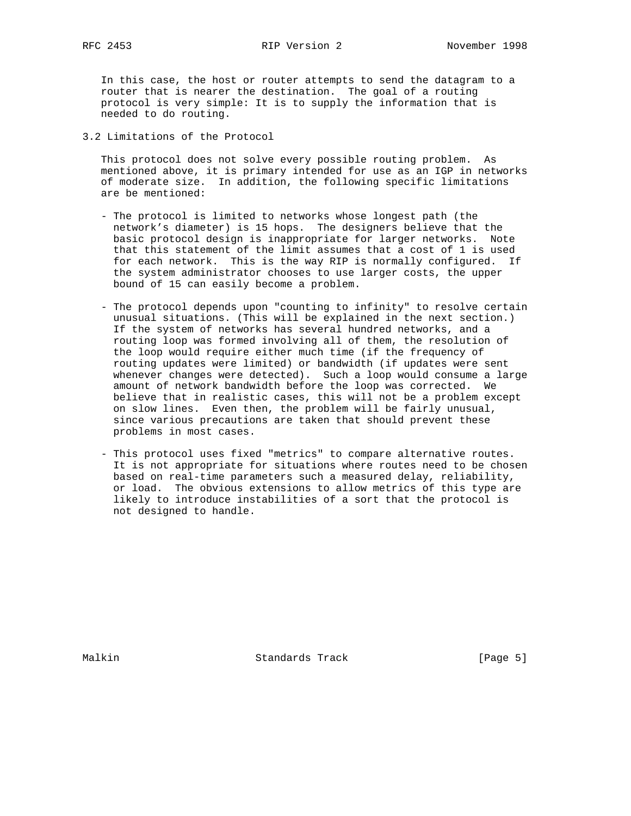In this case, the host or router attempts to send the datagram to a router that is nearer the destination. The goal of a routing protocol is very simple: It is to supply the information that is needed to do routing.

3.2 Limitations of the Protocol

 This protocol does not solve every possible routing problem. As mentioned above, it is primary intended for use as an IGP in networks of moderate size. In addition, the following specific limitations are be mentioned:

- The protocol is limited to networks whose longest path (the network's diameter) is 15 hops. The designers believe that the basic protocol design is inappropriate for larger networks. Note that this statement of the limit assumes that a cost of 1 is used for each network. This is the way RIP is normally configured. If the system administrator chooses to use larger costs, the upper bound of 15 can easily become a problem.
- The protocol depends upon "counting to infinity" to resolve certain unusual situations. (This will be explained in the next section.) If the system of networks has several hundred networks, and a routing loop was formed involving all of them, the resolution of the loop would require either much time (if the frequency of routing updates were limited) or bandwidth (if updates were sent whenever changes were detected). Such a loop would consume a large amount of network bandwidth before the loop was corrected. We believe that in realistic cases, this will not be a problem except on slow lines. Even then, the problem will be fairly unusual, since various precautions are taken that should prevent these problems in most cases.
- This protocol uses fixed "metrics" to compare alternative routes. It is not appropriate for situations where routes need to be chosen based on real-time parameters such a measured delay, reliability, or load. The obvious extensions to allow metrics of this type are likely to introduce instabilities of a sort that the protocol is not designed to handle.

Malkin **Standards Track** [Page 5]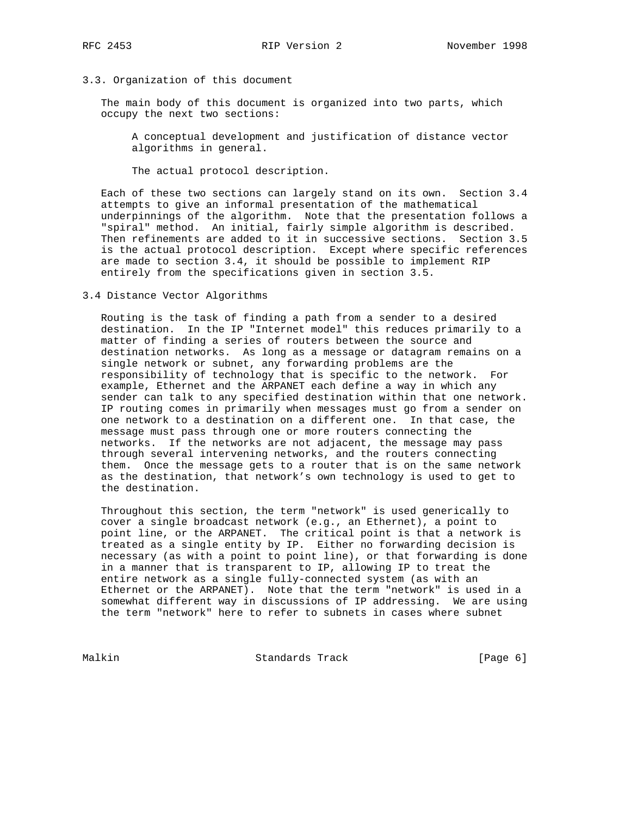# 3.3. Organization of this document

 The main body of this document is organized into two parts, which occupy the next two sections:

 A conceptual development and justification of distance vector algorithms in general.

The actual protocol description.

 Each of these two sections can largely stand on its own. Section 3.4 attempts to give an informal presentation of the mathematical underpinnings of the algorithm. Note that the presentation follows a "spiral" method. An initial, fairly simple algorithm is described. Then refinements are added to it in successive sections. Section 3.5 is the actual protocol description. Except where specific references are made to section 3.4, it should be possible to implement RIP entirely from the specifications given in section 3.5.

3.4 Distance Vector Algorithms

 Routing is the task of finding a path from a sender to a desired destination. In the IP "Internet model" this reduces primarily to a matter of finding a series of routers between the source and destination networks. As long as a message or datagram remains on a single network or subnet, any forwarding problems are the responsibility of technology that is specific to the network. For example, Ethernet and the ARPANET each define a way in which any sender can talk to any specified destination within that one network. IP routing comes in primarily when messages must go from a sender on one network to a destination on a different one. In that case, the message must pass through one or more routers connecting the networks. If the networks are not adjacent, the message may pass through several intervening networks, and the routers connecting them. Once the message gets to a router that is on the same network as the destination, that network's own technology is used to get to the destination.

 Throughout this section, the term "network" is used generically to cover a single broadcast network (e.g., an Ethernet), a point to point line, or the ARPANET. The critical point is that a network is treated as a single entity by IP. Either no forwarding decision is necessary (as with a point to point line), or that forwarding is done in a manner that is transparent to IP, allowing IP to treat the entire network as a single fully-connected system (as with an Ethernet or the ARPANET). Note that the term "network" is used in a somewhat different way in discussions of IP addressing. We are using the term "network" here to refer to subnets in cases where subnet

Malkin Standards Track [Page 6]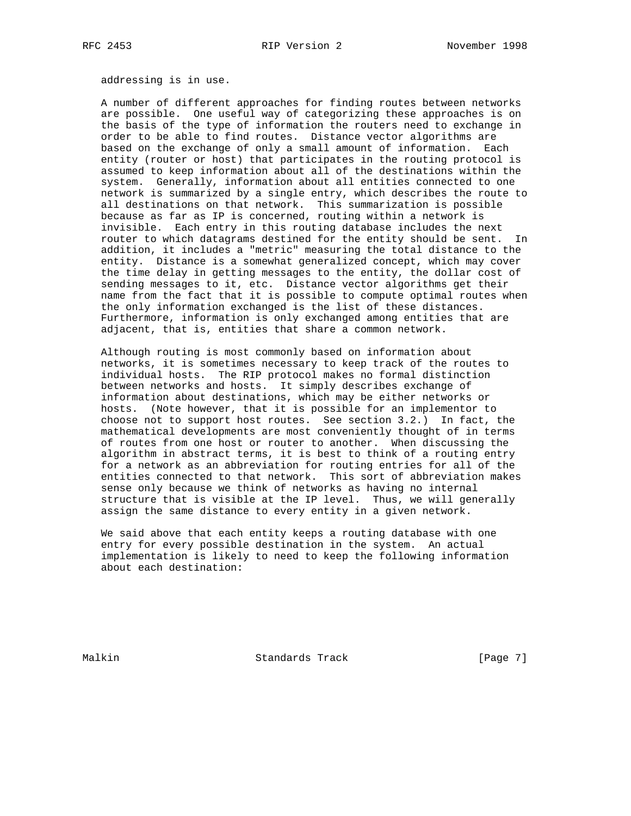addressing is in use.

 A number of different approaches for finding routes between networks are possible. One useful way of categorizing these approaches is on the basis of the type of information the routers need to exchange in order to be able to find routes. Distance vector algorithms are based on the exchange of only a small amount of information. Each entity (router or host) that participates in the routing protocol is assumed to keep information about all of the destinations within the system. Generally, information about all entities connected to one network is summarized by a single entry, which describes the route to all destinations on that network. This summarization is possible because as far as IP is concerned, routing within a network is invisible. Each entry in this routing database includes the next router to which datagrams destined for the entity should be sent. In addition, it includes a "metric" measuring the total distance to the entity. Distance is a somewhat generalized concept, which may cover the time delay in getting messages to the entity, the dollar cost of sending messages to it, etc. Distance vector algorithms get their name from the fact that it is possible to compute optimal routes when the only information exchanged is the list of these distances. Furthermore, information is only exchanged among entities that are adjacent, that is, entities that share a common network.

 Although routing is most commonly based on information about networks, it is sometimes necessary to keep track of the routes to individual hosts. The RIP protocol makes no formal distinction between networks and hosts. It simply describes exchange of information about destinations, which may be either networks or hosts. (Note however, that it is possible for an implementor to choose not to support host routes. See section 3.2.) In fact, the mathematical developments are most conveniently thought of in terms of routes from one host or router to another. When discussing the algorithm in abstract terms, it is best to think of a routing entry for a network as an abbreviation for routing entries for all of the entities connected to that network. This sort of abbreviation makes sense only because we think of networks as having no internal structure that is visible at the IP level. Thus, we will generally assign the same distance to every entity in a given network.

 We said above that each entity keeps a routing database with one entry for every possible destination in the system. An actual implementation is likely to need to keep the following information about each destination:

Malkin **Standards Track** [Page 7]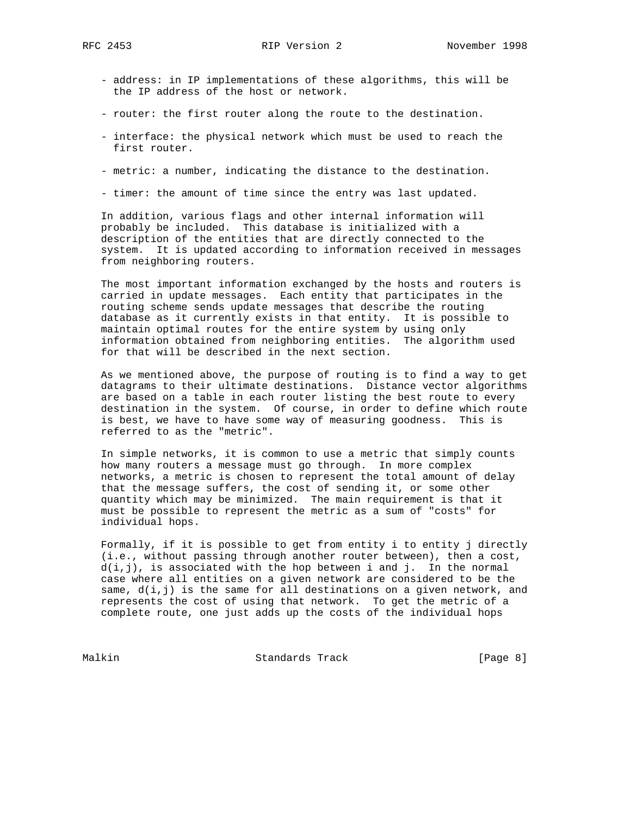- address: in IP implementations of these algorithms, this will be the IP address of the host or network.
- router: the first router along the route to the destination.
- interface: the physical network which must be used to reach the first router.
- metric: a number, indicating the distance to the destination.
- timer: the amount of time since the entry was last updated.

 In addition, various flags and other internal information will probably be included. This database is initialized with a description of the entities that are directly connected to the system. It is updated according to information received in messages from neighboring routers.

 The most important information exchanged by the hosts and routers is carried in update messages. Each entity that participates in the routing scheme sends update messages that describe the routing database as it currently exists in that entity. It is possible to maintain optimal routes for the entire system by using only information obtained from neighboring entities. The algorithm used for that will be described in the next section.

 As we mentioned above, the purpose of routing is to find a way to get datagrams to their ultimate destinations. Distance vector algorithms are based on a table in each router listing the best route to every destination in the system. Of course, in order to define which route is best, we have to have some way of measuring goodness. This is referred to as the "metric".

 In simple networks, it is common to use a metric that simply counts how many routers a message must go through. In more complex networks, a metric is chosen to represent the total amount of delay that the message suffers, the cost of sending it, or some other quantity which may be minimized. The main requirement is that it must be possible to represent the metric as a sum of "costs" for individual hops.

 Formally, if it is possible to get from entity i to entity j directly (i.e., without passing through another router between), then a cost,  $d(i,j)$ , is associated with the hop between i and j. In the normal case where all entities on a given network are considered to be the same,  $d(i, j)$  is the same for all destinations on a given network, and represents the cost of using that network. To get the metric of a complete route, one just adds up the costs of the individual hops

Malkin Standards Track [Page 8]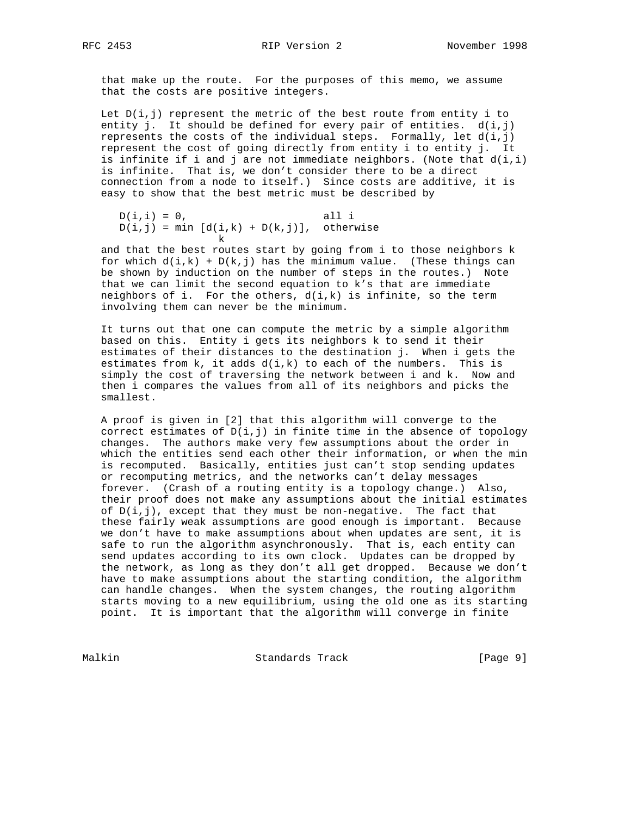that make up the route. For the purposes of this memo, we assume that the costs are positive integers.

Let  $D(i,j)$  represent the metric of the best route from entity i to entity j. It should be defined for every pair of entities. d(i,j) represents the costs of the individual steps. Formally, let  $d(i,j)$  represent the cost of going directly from entity i to entity j. It is infinite if i and j are not immediate neighbors. (Note that  $d(i,i)$  is infinite. That is, we don't consider there to be a direct connection from a node to itself.) Since costs are additive, it is easy to show that the best metric must be described by

```
D(i,i) = 0, all i
     D(i,j) = min [d(i,k) + D(k,j)], otherwise
kan di sebagai kecamatan ing kabupatèn K
```
 and that the best routes start by going from i to those neighbors k for which  $d(i,k) + D(k,j)$  has the minimum value. (These things can be shown by induction on the number of steps in the routes.) Note that we can limit the second equation to k's that are immediate neighbors of i. For the others,  $d(i,k)$  is infinite, so the term involving them can never be the minimum.

 It turns out that one can compute the metric by a simple algorithm based on this. Entity i gets its neighbors k to send it their estimates of their distances to the destination j. When i gets the estimates from  $k$ , it adds  $d(i, k)$  to each of the numbers. This is simply the cost of traversing the network between i and k. Now and then i compares the values from all of its neighbors and picks the smallest.

 A proof is given in [2] that this algorithm will converge to the correct estimates of  $D(i,j)$  in finite time in the absence of topology changes. The authors make very few assumptions about the order in which the entities send each other their information, or when the min is recomputed. Basically, entities just can't stop sending updates or recomputing metrics, and the networks can't delay messages forever. (Crash of a routing entity is a topology change.) Also, their proof does not make any assumptions about the initial estimates of  $D(i,j)$ , except that they must be non-negative. The fact that these fairly weak assumptions are good enough is important. Because we don't have to make assumptions about when updates are sent, it is safe to run the algorithm asynchronously. That is, each entity can send updates according to its own clock. Updates can be dropped by the network, as long as they don't all get dropped. Because we don't have to make assumptions about the starting condition, the algorithm can handle changes. When the system changes, the routing algorithm starts moving to a new equilibrium, using the old one as its starting point. It is important that the algorithm will converge in finite

Malkin Standards Track [Page 9]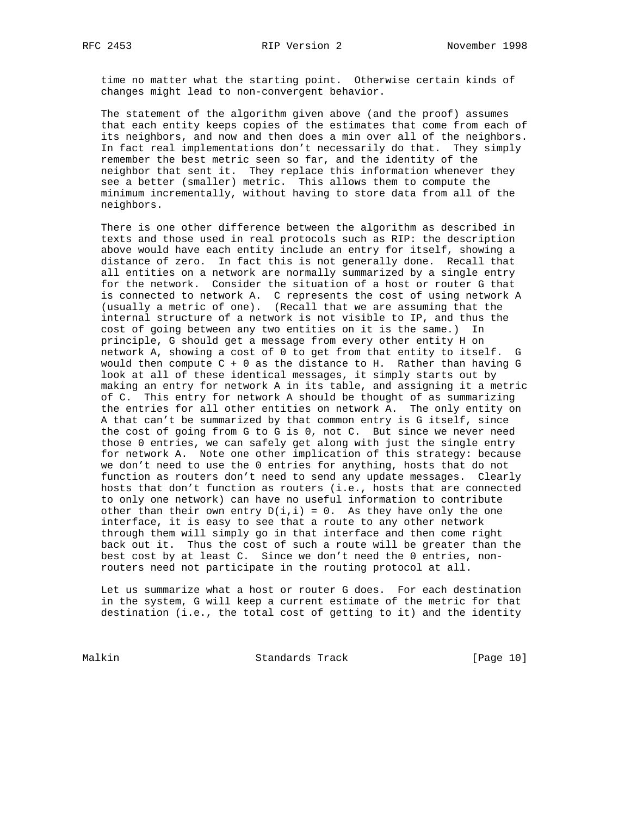time no matter what the starting point. Otherwise certain kinds of changes might lead to non-convergent behavior.

 The statement of the algorithm given above (and the proof) assumes that each entity keeps copies of the estimates that come from each of its neighbors, and now and then does a min over all of the neighbors. In fact real implementations don't necessarily do that. They simply remember the best metric seen so far, and the identity of the neighbor that sent it. They replace this information whenever they see a better (smaller) metric. This allows them to compute the minimum incrementally, without having to store data from all of the neighbors.

 There is one other difference between the algorithm as described in texts and those used in real protocols such as RIP: the description above would have each entity include an entry for itself, showing a distance of zero. In fact this is not generally done. Recall that all entities on a network are normally summarized by a single entry for the network. Consider the situation of a host or router G that is connected to network A. C represents the cost of using network A (usually a metric of one). (Recall that we are assuming that the internal structure of a network is not visible to IP, and thus the cost of going between any two entities on it is the same.) In principle, G should get a message from every other entity H on network A, showing a cost of 0 to get from that entity to itself. G would then compute C + 0 as the distance to H. Rather than having G look at all of these identical messages, it simply starts out by making an entry for network A in its table, and assigning it a metric of C. This entry for network A should be thought of as summarizing the entries for all other entities on network A. The only entity on A that can't be summarized by that common entry is G itself, since the cost of going from G to G is 0, not C. But since we never need those 0 entries, we can safely get along with just the single entry for network A. Note one other implication of this strategy: because we don't need to use the 0 entries for anything, hosts that do not function as routers don't need to send any update messages. Clearly hosts that don't function as routers (i.e., hosts that are connected to only one network) can have no useful information to contribute other than their own entry  $D(i,i) = 0$ . As they have only the one interface, it is easy to see that a route to any other network through them will simply go in that interface and then come right back out it. Thus the cost of such a route will be greater than the best cost by at least C. Since we don't need the 0 entries, non routers need not participate in the routing protocol at all.

 Let us summarize what a host or router G does. For each destination in the system, G will keep a current estimate of the metric for that destination (i.e., the total cost of getting to it) and the identity

Malkin Standards Track [Page 10]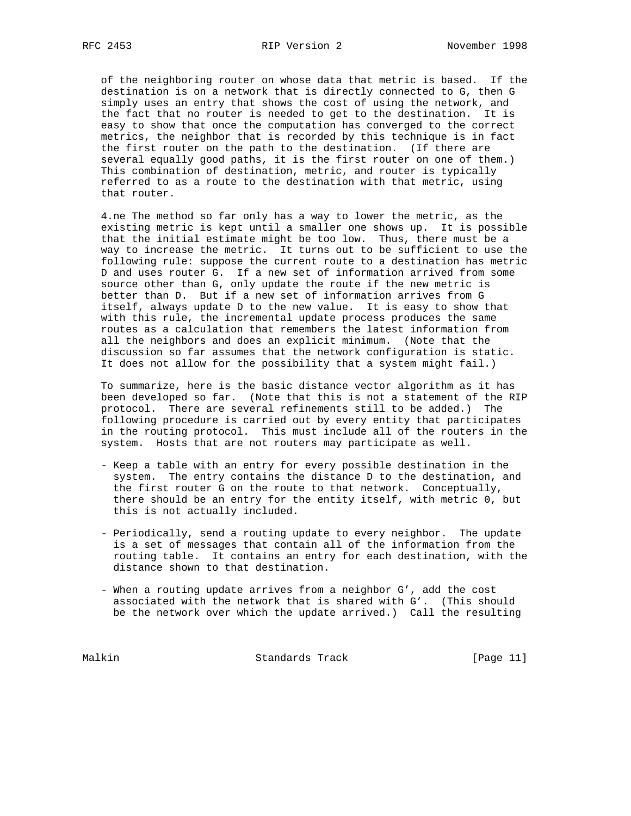of the neighboring router on whose data that metric is based. If the destination is on a network that is directly connected to G, then G simply uses an entry that shows the cost of using the network, and the fact that no router is needed to get to the destination. It is easy to show that once the computation has converged to the correct metrics, the neighbor that is recorded by this technique is in fact the first router on the path to the destination. (If there are several equally good paths, it is the first router on one of them.) This combination of destination, metric, and router is typically referred to as a route to the destination with that metric, using that router.

 4.ne The method so far only has a way to lower the metric, as the existing metric is kept until a smaller one shows up. It is possible that the initial estimate might be too low. Thus, there must be a way to increase the metric. It turns out to be sufficient to use the following rule: suppose the current route to a destination has metric D and uses router G. If a new set of information arrived from some source other than G, only update the route if the new metric is better than D. But if a new set of information arrives from G itself, always update D to the new value. It is easy to show that with this rule, the incremental update process produces the same routes as a calculation that remembers the latest information from all the neighbors and does an explicit minimum. (Note that the discussion so far assumes that the network configuration is static. It does not allow for the possibility that a system might fail.)

 To summarize, here is the basic distance vector algorithm as it has been developed so far. (Note that this is not a statement of the RIP protocol. There are several refinements still to be added.) The following procedure is carried out by every entity that participates in the routing protocol. This must include all of the routers in the system. Hosts that are not routers may participate as well.

- Keep a table with an entry for every possible destination in the system. The entry contains the distance D to the destination, and the first router G on the route to that network. Conceptually, there should be an entry for the entity itself, with metric 0, but this is not actually included.
- Periodically, send a routing update to every neighbor. The update is a set of messages that contain all of the information from the routing table. It contains an entry for each destination, with the distance shown to that destination.
- When a routing update arrives from a neighbor G', add the cost associated with the network that is shared with G'. (This should be the network over which the update arrived.) Call the resulting

Malkin Standards Track [Page 11]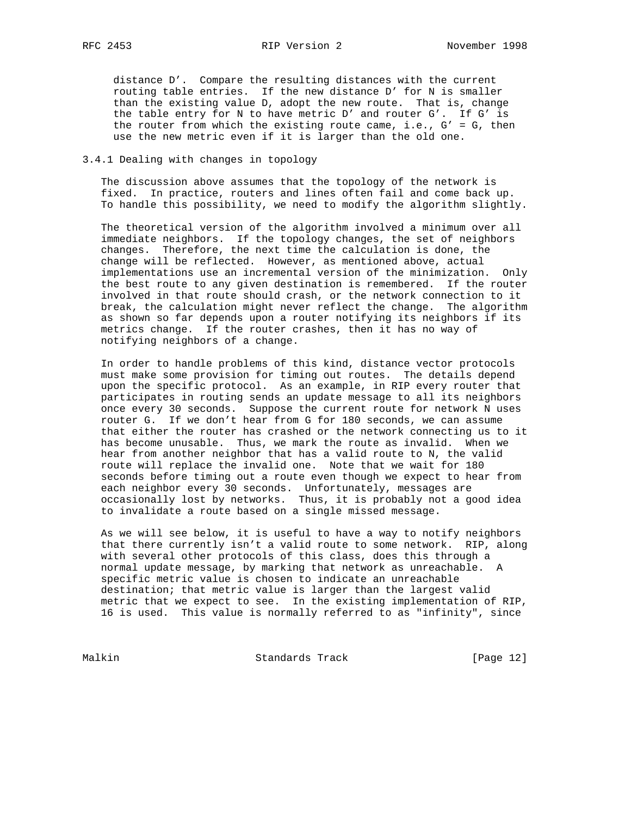distance D'. Compare the resulting distances with the current routing table entries. If the new distance D' for N is smaller than the existing value D, adopt the new route. That is, change the table entry for N to have metric D' and router G'. If G' is the router from which the existing route came, i.e., G' = G, then use the new metric even if it is larger than the old one.

# 3.4.1 Dealing with changes in topology

 The discussion above assumes that the topology of the network is fixed. In practice, routers and lines often fail and come back up. To handle this possibility, we need to modify the algorithm slightly.

 The theoretical version of the algorithm involved a minimum over all immediate neighbors. If the topology changes, the set of neighbors changes. Therefore, the next time the calculation is done, the change will be reflected. However, as mentioned above, actual implementations use an incremental version of the minimization. Only the best route to any given destination is remembered. If the router involved in that route should crash, or the network connection to it break, the calculation might never reflect the change. The algorithm as shown so far depends upon a router notifying its neighbors if its metrics change. If the router crashes, then it has no way of notifying neighbors of a change.

 In order to handle problems of this kind, distance vector protocols must make some provision for timing out routes. The details depend upon the specific protocol. As an example, in RIP every router that participates in routing sends an update message to all its neighbors once every 30 seconds. Suppose the current route for network N uses router G. If we don't hear from G for 180 seconds, we can assume that either the router has crashed or the network connecting us to it has become unusable. Thus, we mark the route as invalid. When we hear from another neighbor that has a valid route to N, the valid route will replace the invalid one. Note that we wait for 180 seconds before timing out a route even though we expect to hear from each neighbor every 30 seconds. Unfortunately, messages are occasionally lost by networks. Thus, it is probably not a good idea to invalidate a route based on a single missed message.

 As we will see below, it is useful to have a way to notify neighbors that there currently isn't a valid route to some network. RIP, along with several other protocols of this class, does this through a normal update message, by marking that network as unreachable. A specific metric value is chosen to indicate an unreachable destination; that metric value is larger than the largest valid metric that we expect to see. In the existing implementation of RIP, 16 is used. This value is normally referred to as "infinity", since

Malkin Standards Track [Page 12]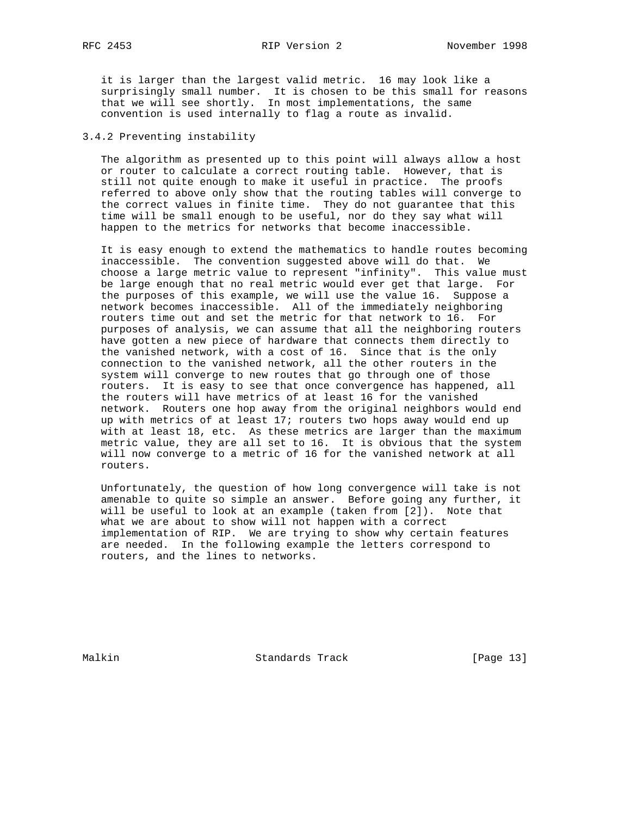it is larger than the largest valid metric. 16 may look like a surprisingly small number. It is chosen to be this small for reasons that we will see shortly. In most implementations, the same convention is used internally to flag a route as invalid.

# 3.4.2 Preventing instability

 The algorithm as presented up to this point will always allow a host or router to calculate a correct routing table. However, that is still not quite enough to make it useful in practice. The proofs referred to above only show that the routing tables will converge to the correct values in finite time. They do not guarantee that this time will be small enough to be useful, nor do they say what will happen to the metrics for networks that become inaccessible.

 It is easy enough to extend the mathematics to handle routes becoming inaccessible. The convention suggested above will do that. We choose a large metric value to represent "infinity". This value must be large enough that no real metric would ever get that large. For the purposes of this example, we will use the value 16. Suppose a network becomes inaccessible. All of the immediately neighboring routers time out and set the metric for that network to 16. For purposes of analysis, we can assume that all the neighboring routers have gotten a new piece of hardware that connects them directly to the vanished network, with a cost of 16. Since that is the only connection to the vanished network, all the other routers in the system will converge to new routes that go through one of those routers. It is easy to see that once convergence has happened, all the routers will have metrics of at least 16 for the vanished network. Routers one hop away from the original neighbors would end up with metrics of at least 17; routers two hops away would end up with at least 18, etc. As these metrics are larger than the maximum metric value, they are all set to 16. It is obvious that the system will now converge to a metric of 16 for the vanished network at all routers.

 Unfortunately, the question of how long convergence will take is not amenable to quite so simple an answer. Before going any further, it will be useful to look at an example (taken from [2]). Note that what we are about to show will not happen with a correct implementation of RIP. We are trying to show why certain features are needed. In the following example the letters correspond to routers, and the lines to networks.

Malkin Standards Track [Page 13]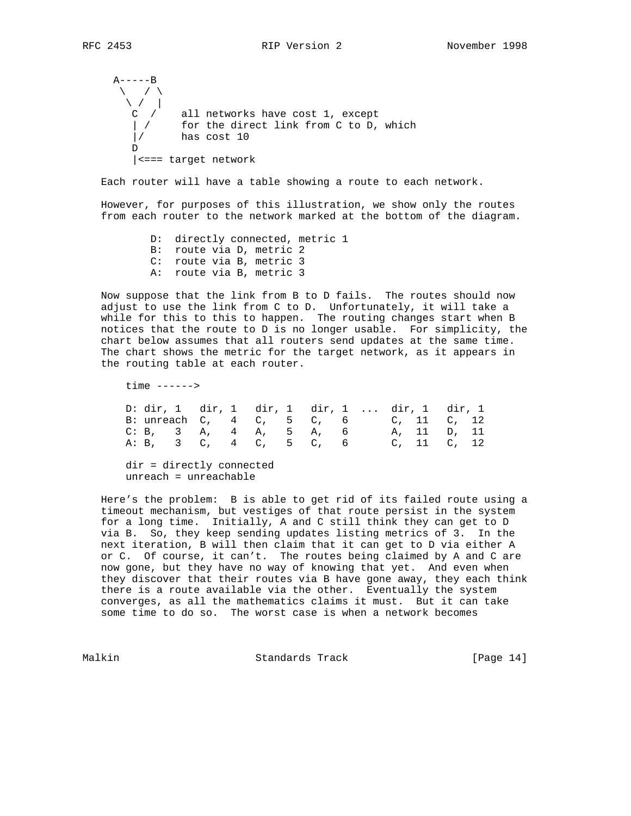```
A---B\setminus / \setminus\setminus / | C / all networks have cost 1, except
 | / for the direct link from C to D, which
       |/ has cost 10
 D
       |<=== target network
```
Each router will have a table showing a route to each network.

 However, for purposes of this illustration, we show only the routes from each router to the network marked at the bottom of the diagram.

> D: directly connected, metric 1 B: route via D, metric 2 C: route via B, metric 3 A: route via B, metric 3

 Now suppose that the link from B to D fails. The routes should now adjust to use the link from C to D. Unfortunately, it will take a while for this to this to happen. The routing changes start when B notices that the route to D is no longer usable. For simplicity, the chart below assumes that all routers send updates at the same time. The chart shows the metric for the target network, as it appears in the routing table at each router.

 time ------> D: dir, 1 dir, 1 dir, 1 dir, 1 ... dir, 1 dir, 1 B: unreach C, 4 C, 5 C, 6 C, 11 C, 12 C: B, 3 A, 4 A, 5 A, 6 A, 11 D, 11 A: B, 3 C, 4 C, 5 C, 6 C, 11 C, 12

 dir = directly connected unreach = unreachable

 Here's the problem: B is able to get rid of its failed route using a timeout mechanism, but vestiges of that route persist in the system for a long time. Initially, A and C still think they can get to D via B. So, they keep sending updates listing metrics of 3. In the next iteration, B will then claim that it can get to D via either A or C. Of course, it can't. The routes being claimed by A and C are now gone, but they have no way of knowing that yet. And even when they discover that their routes via B have gone away, they each think there is a route available via the other. Eventually the system converges, as all the mathematics claims it must. But it can take some time to do so. The worst case is when a network becomes

Malkin **Standards Track** [Page 14]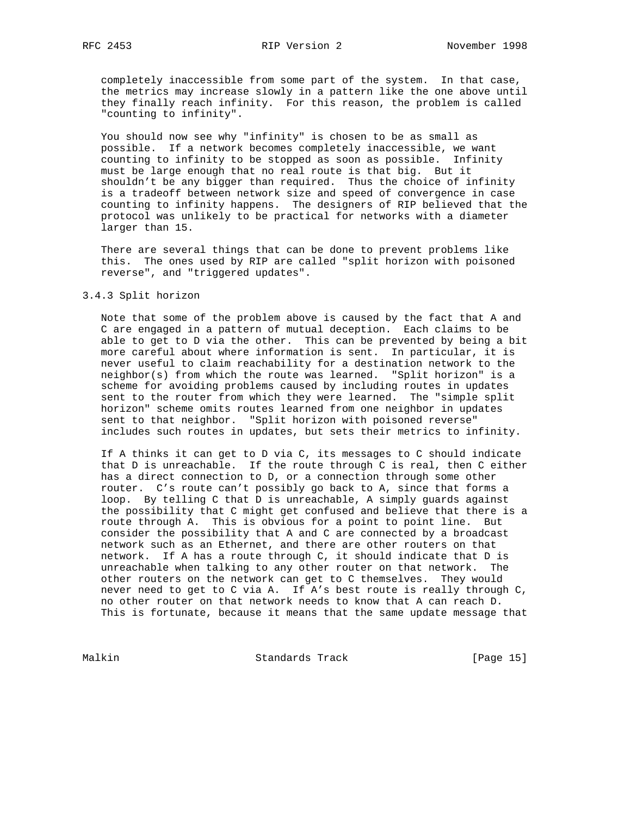completely inaccessible from some part of the system. In that case, the metrics may increase slowly in a pattern like the one above until they finally reach infinity. For this reason, the problem is called "counting to infinity".

 You should now see why "infinity" is chosen to be as small as possible. If a network becomes completely inaccessible, we want counting to infinity to be stopped as soon as possible. Infinity must be large enough that no real route is that big. But it shouldn't be any bigger than required. Thus the choice of infinity is a tradeoff between network size and speed of convergence in case counting to infinity happens. The designers of RIP believed that the protocol was unlikely to be practical for networks with a diameter larger than 15.

 There are several things that can be done to prevent problems like this. The ones used by RIP are called "split horizon with poisoned reverse", and "triggered updates".

# 3.4.3 Split horizon

 Note that some of the problem above is caused by the fact that A and C are engaged in a pattern of mutual deception. Each claims to be able to get to D via the other. This can be prevented by being a bit more careful about where information is sent. In particular, it is never useful to claim reachability for a destination network to the neighbor(s) from which the route was learned. "Split horizon" is a scheme for avoiding problems caused by including routes in updates sent to the router from which they were learned. The "simple split horizon" scheme omits routes learned from one neighbor in updates sent to that neighbor. "Split horizon with poisoned reverse" includes such routes in updates, but sets their metrics to infinity.

 If A thinks it can get to D via C, its messages to C should indicate that D is unreachable. If the route through C is real, then C either has a direct connection to D, or a connection through some other router. C's route can't possibly go back to A, since that forms a loop. By telling C that D is unreachable, A simply guards against the possibility that C might get confused and believe that there is a route through A. This is obvious for a point to point line. But consider the possibility that A and C are connected by a broadcast network such as an Ethernet, and there are other routers on that network. If A has a route through C, it should indicate that D is unreachable when talking to any other router on that network. The other routers on the network can get to C themselves. They would never need to get to C via A. If A's best route is really through C, no other router on that network needs to know that A can reach D. This is fortunate, because it means that the same update message that

Malkin Standards Track [Page 15]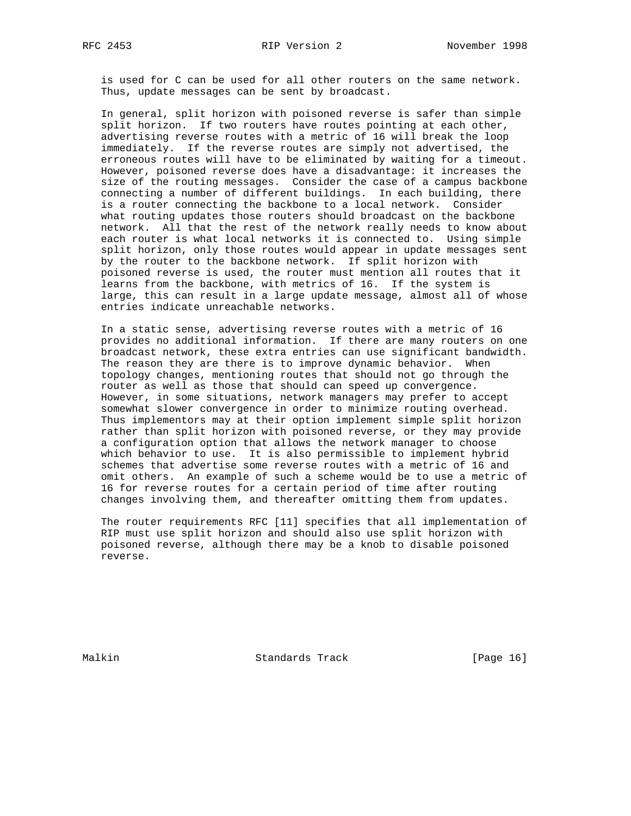is used for C can be used for all other routers on the same network. Thus, update messages can be sent by broadcast.

 In general, split horizon with poisoned reverse is safer than simple split horizon. If two routers have routes pointing at each other, advertising reverse routes with a metric of 16 will break the loop immediately. If the reverse routes are simply not advertised, the erroneous routes will have to be eliminated by waiting for a timeout. However, poisoned reverse does have a disadvantage: it increases the size of the routing messages. Consider the case of a campus backbone connecting a number of different buildings. In each building, there is a router connecting the backbone to a local network. Consider what routing updates those routers should broadcast on the backbone network. All that the rest of the network really needs to know about each router is what local networks it is connected to. Using simple split horizon, only those routes would appear in update messages sent by the router to the backbone network. If split horizon with poisoned reverse is used, the router must mention all routes that it learns from the backbone, with metrics of 16. If the system is large, this can result in a large update message, almost all of whose entries indicate unreachable networks.

 In a static sense, advertising reverse routes with a metric of 16 provides no additional information. If there are many routers on one broadcast network, these extra entries can use significant bandwidth. The reason they are there is to improve dynamic behavior. When topology changes, mentioning routes that should not go through the router as well as those that should can speed up convergence. However, in some situations, network managers may prefer to accept somewhat slower convergence in order to minimize routing overhead. Thus implementors may at their option implement simple split horizon rather than split horizon with poisoned reverse, or they may provide a configuration option that allows the network manager to choose which behavior to use. It is also permissible to implement hybrid schemes that advertise some reverse routes with a metric of 16 and omit others. An example of such a scheme would be to use a metric of 16 for reverse routes for a certain period of time after routing changes involving them, and thereafter omitting them from updates.

 The router requirements RFC [11] specifies that all implementation of RIP must use split horizon and should also use split horizon with poisoned reverse, although there may be a knob to disable poisoned reverse.

Malkin Standards Track [Page 16]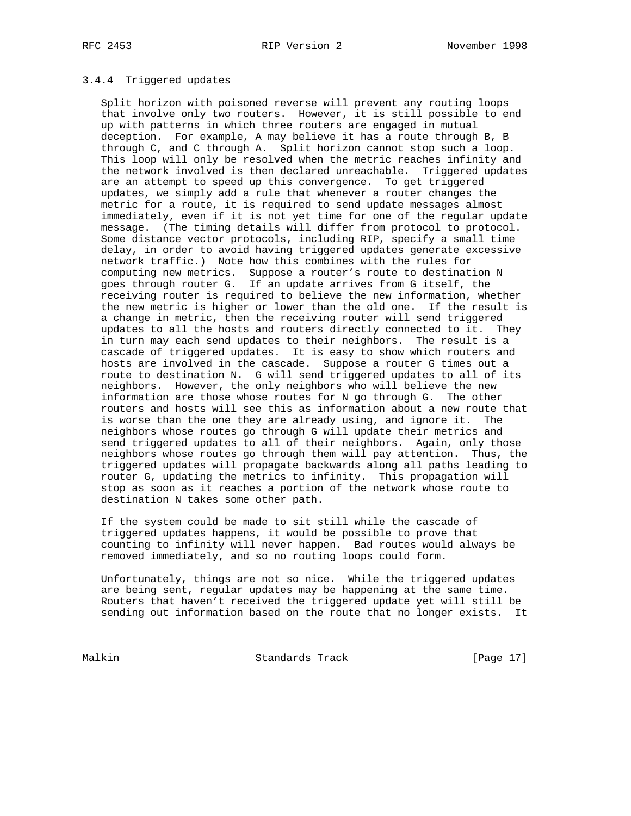# RFC 2453 RIP Version 2 November 1998

# 3.4.4 Triggered updates

 Split horizon with poisoned reverse will prevent any routing loops that involve only two routers. However, it is still possible to end up with patterns in which three routers are engaged in mutual deception. For example, A may believe it has a route through B, B through C, and C through A. Split horizon cannot stop such a loop. This loop will only be resolved when the metric reaches infinity and the network involved is then declared unreachable. Triggered updates are an attempt to speed up this convergence. To get triggered updates, we simply add a rule that whenever a router changes the metric for a route, it is required to send update messages almost immediately, even if it is not yet time for one of the regular update message. (The timing details will differ from protocol to protocol. Some distance vector protocols, including RIP, specify a small time delay, in order to avoid having triggered updates generate excessive network traffic.) Note how this combines with the rules for computing new metrics. Suppose a router's route to destination N goes through router G. If an update arrives from G itself, the receiving router is required to believe the new information, whether the new metric is higher or lower than the old one. If the result is a change in metric, then the receiving router will send triggered updates to all the hosts and routers directly connected to it. They in turn may each send updates to their neighbors. The result is a cascade of triggered updates. It is easy to show which routers and hosts are involved in the cascade. Suppose a router G times out a route to destination N. G will send triggered updates to all of its neighbors. However, the only neighbors who will believe the new information are those whose routes for N go through G. The other routers and hosts will see this as information about a new route that is worse than the one they are already using, and ignore it. The neighbors whose routes go through G will update their metrics and send triggered updates to all of their neighbors. Again, only those neighbors whose routes go through them will pay attention. Thus, the triggered updates will propagate backwards along all paths leading to router G, updating the metrics to infinity. This propagation will stop as soon as it reaches a portion of the network whose route to destination N takes some other path.

 If the system could be made to sit still while the cascade of triggered updates happens, it would be possible to prove that counting to infinity will never happen. Bad routes would always be removed immediately, and so no routing loops could form.

 Unfortunately, things are not so nice. While the triggered updates are being sent, regular updates may be happening at the same time. Routers that haven't received the triggered update yet will still be sending out information based on the route that no longer exists. It

Malkin Standards Track [Page 17]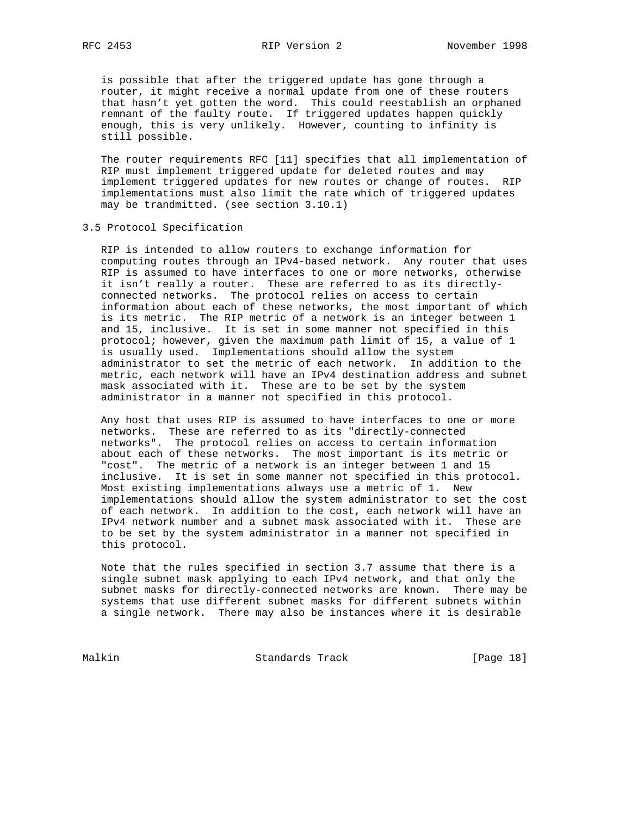is possible that after the triggered update has gone through a router, it might receive a normal update from one of these routers that hasn't yet gotten the word. This could reestablish an orphaned remnant of the faulty route. If triggered updates happen quickly enough, this is very unlikely. However, counting to infinity is still possible.

 The router requirements RFC [11] specifies that all implementation of RIP must implement triggered update for deleted routes and may implement triggered updates for new routes or change of routes. RIP implementations must also limit the rate which of triggered updates may be trandmitted. (see section 3.10.1)

3.5 Protocol Specification

 RIP is intended to allow routers to exchange information for computing routes through an IPv4-based network. Any router that uses RIP is assumed to have interfaces to one or more networks, otherwise it isn't really a router. These are referred to as its directly connected networks. The protocol relies on access to certain information about each of these networks, the most important of which is its metric. The RIP metric of a network is an integer between 1 and 15, inclusive. It is set in some manner not specified in this protocol; however, given the maximum path limit of 15, a value of 1 is usually used. Implementations should allow the system administrator to set the metric of each network. In addition to the metric, each network will have an IPv4 destination address and subnet mask associated with it. These are to be set by the system administrator in a manner not specified in this protocol.

 Any host that uses RIP is assumed to have interfaces to one or more networks. These are referred to as its "directly-connected networks". The protocol relies on access to certain information about each of these networks. The most important is its metric or "cost". The metric of a network is an integer between 1 and 15 inclusive. It is set in some manner not specified in this protocol. Most existing implementations always use a metric of 1. New implementations should allow the system administrator to set the cost of each network. In addition to the cost, each network will have an IPv4 network number and a subnet mask associated with it. These are to be set by the system administrator in a manner not specified in this protocol.

 Note that the rules specified in section 3.7 assume that there is a single subnet mask applying to each IPv4 network, and that only the subnet masks for directly-connected networks are known. There may be systems that use different subnet masks for different subnets within a single network. There may also be instances where it is desirable

Malkin Standards Track [Page 18]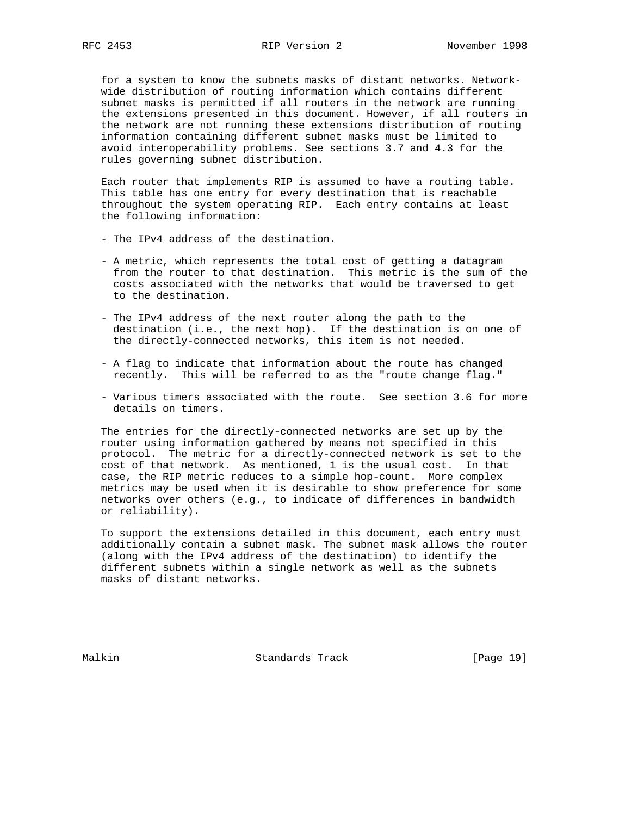for a system to know the subnets masks of distant networks. Network wide distribution of routing information which contains different subnet masks is permitted if all routers in the network are running the extensions presented in this document. However, if all routers in the network are not running these extensions distribution of routing information containing different subnet masks must be limited to avoid interoperability problems. See sections 3.7 and 4.3 for the rules governing subnet distribution.

 Each router that implements RIP is assumed to have a routing table. This table has one entry for every destination that is reachable throughout the system operating RIP. Each entry contains at least the following information:

- The IPv4 address of the destination.
- A metric, which represents the total cost of getting a datagram from the router to that destination. This metric is the sum of the costs associated with the networks that would be traversed to get to the destination.
- The IPv4 address of the next router along the path to the destination (i.e., the next hop). If the destination is on one of the directly-connected networks, this item is not needed.
- A flag to indicate that information about the route has changed recently. This will be referred to as the "route change flag."
- Various timers associated with the route. See section 3.6 for more details on timers.

 The entries for the directly-connected networks are set up by the router using information gathered by means not specified in this protocol. The metric for a directly-connected network is set to the cost of that network. As mentioned, 1 is the usual cost. In that case, the RIP metric reduces to a simple hop-count. More complex metrics may be used when it is desirable to show preference for some networks over others (e.g., to indicate of differences in bandwidth or reliability).

 To support the extensions detailed in this document, each entry must additionally contain a subnet mask. The subnet mask allows the router (along with the IPv4 address of the destination) to identify the different subnets within a single network as well as the subnets masks of distant networks.

Malkin Standards Track [Page 19]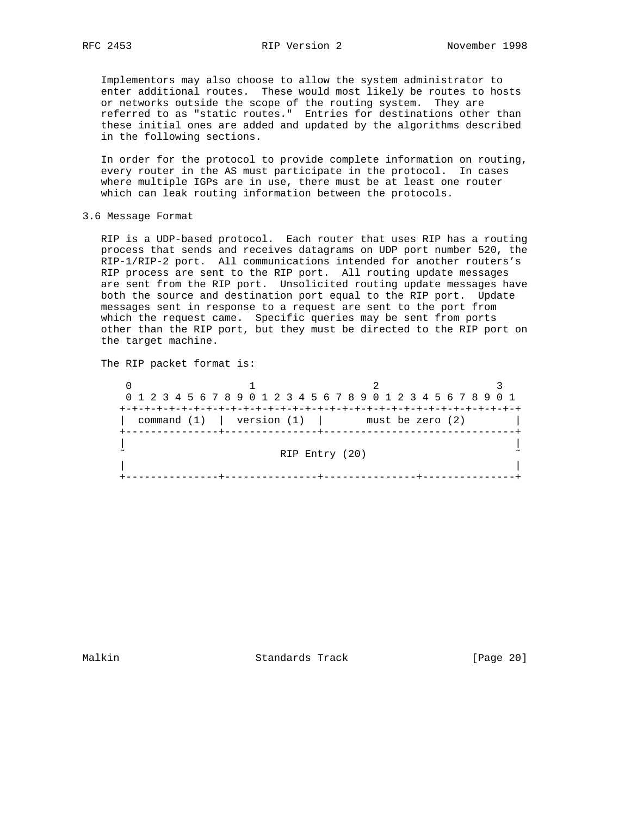Implementors may also choose to allow the system administrator to enter additional routes. These would most likely be routes to hosts or networks outside the scope of the routing system. They are referred to as "static routes." Entries for destinations other than these initial ones are added and updated by the algorithms described in the following sections.

 In order for the protocol to provide complete information on routing, every router in the AS must participate in the protocol. In cases where multiple IGPs are in use, there must be at least one router which can leak routing information between the protocols.

3.6 Message Format

 RIP is a UDP-based protocol. Each router that uses RIP has a routing process that sends and receives datagrams on UDP port number 520, the RIP-1/RIP-2 port. All communications intended for another routers's RIP process are sent to the RIP port. All routing update messages are sent from the RIP port. Unsolicited routing update messages have both the source and destination port equal to the RIP port. Update messages sent in response to a request are sent to the port from which the request came. Specific queries may be sent from ports other than the RIP port, but they must be directed to the RIP port on the target machine.

The RIP packet format is:

 $0$  1 2 3 0 1 2 3 4 5 6 7 8 9 0 1 2 3 4 5 6 7 8 9 0 1 2 3 4 5 6 7 8 9 0 1 +-+-+-+-+-+-+-+-+-+-+-+-+-+-+-+-+-+-+-+-+-+-+-+-+-+-+-+-+-+-+-+-+ | command  $(1)$  | version  $(1)$  | must be zero  $(2)$  +---------------+---------------+-------------------------------+ | | RIP Entry (20) | | +---------------+---------------+---------------+---------------+

Malkin Standards Track [Page 20]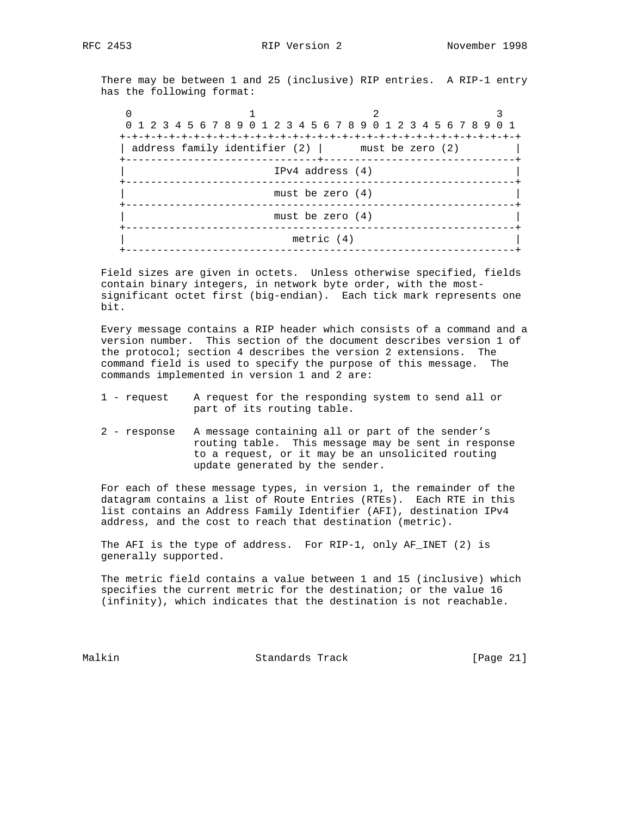There may be between 1 and 25 (inclusive) RIP entries. A RIP-1 entry has the following format:

| 0 1 2 3 4 5 6 7 8 9 0 1 2 3 4 5 6 7 8 9 0 1 2 3 4 5 6 7 8 9 0 1<br>address family identifier $(2)$   must be zero $(2)$ |  |  |  |
|-------------------------------------------------------------------------------------------------------------------------|--|--|--|
| $IPv4$ address $(4)$                                                                                                    |  |  |  |
| must be zero $(4)$                                                                                                      |  |  |  |
| must be zero $(4)$                                                                                                      |  |  |  |
| metric $(4)$<br>----------                                                                                              |  |  |  |

 Field sizes are given in octets. Unless otherwise specified, fields contain binary integers, in network byte order, with the most significant octet first (big-endian). Each tick mark represents one bit.

 Every message contains a RIP header which consists of a command and a version number. This section of the document describes version 1 of the protocol; section 4 describes the version 2 extensions. The command field is used to specify the purpose of this message. The commands implemented in version 1 and 2 are:

- 1 request A request for the responding system to send all or part of its routing table.
- 2 response A message containing all or part of the sender's routing table. This message may be sent in response to a request, or it may be an unsolicited routing update generated by the sender.

 For each of these message types, in version 1, the remainder of the datagram contains a list of Route Entries (RTEs). Each RTE in this list contains an Address Family Identifier (AFI), destination IPv4 address, and the cost to reach that destination (metric).

 The AFI is the type of address. For RIP-1, only AF\_INET (2) is generally supported.

 The metric field contains a value between 1 and 15 (inclusive) which specifies the current metric for the destination; or the value 16 (infinity), which indicates that the destination is not reachable.

Malkin Standards Track [Page 21]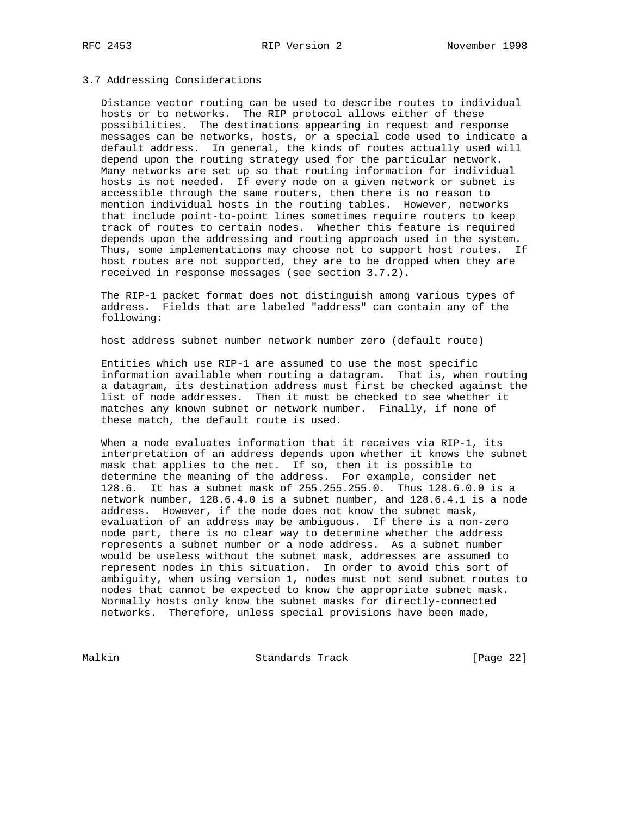# 3.7 Addressing Considerations

 Distance vector routing can be used to describe routes to individual hosts or to networks. The RIP protocol allows either of these possibilities. The destinations appearing in request and response messages can be networks, hosts, or a special code used to indicate a default address. In general, the kinds of routes actually used will depend upon the routing strategy used for the particular network. Many networks are set up so that routing information for individual hosts is not needed. If every node on a given network or subnet is accessible through the same routers, then there is no reason to mention individual hosts in the routing tables. However, networks that include point-to-point lines sometimes require routers to keep track of routes to certain nodes. Whether this feature is required depends upon the addressing and routing approach used in the system. Thus, some implementations may choose not to support host routes. If host routes are not supported, they are to be dropped when they are received in response messages (see section 3.7.2).

 The RIP-1 packet format does not distinguish among various types of address. Fields that are labeled "address" can contain any of the following:

host address subnet number network number zero (default route)

 Entities which use RIP-1 are assumed to use the most specific information available when routing a datagram. That is, when routing a datagram, its destination address must first be checked against the list of node addresses. Then it must be checked to see whether it matches any known subnet or network number. Finally, if none of these match, the default route is used.

 When a node evaluates information that it receives via RIP-1, its interpretation of an address depends upon whether it knows the subnet mask that applies to the net. If so, then it is possible to determine the meaning of the address. For example, consider net 128.6. It has a subnet mask of 255.255.255.0. Thus 128.6.0.0 is a network number, 128.6.4.0 is a subnet number, and 128.6.4.1 is a node address. However, if the node does not know the subnet mask, evaluation of an address may be ambiguous. If there is a non-zero node part, there is no clear way to determine whether the address represents a subnet number or a node address. As a subnet number would be useless without the subnet mask, addresses are assumed to represent nodes in this situation. In order to avoid this sort of ambiguity, when using version 1, nodes must not send subnet routes to nodes that cannot be expected to know the appropriate subnet mask. Normally hosts only know the subnet masks for directly-connected networks. Therefore, unless special provisions have been made,

Malkin Standards Track [Page 22]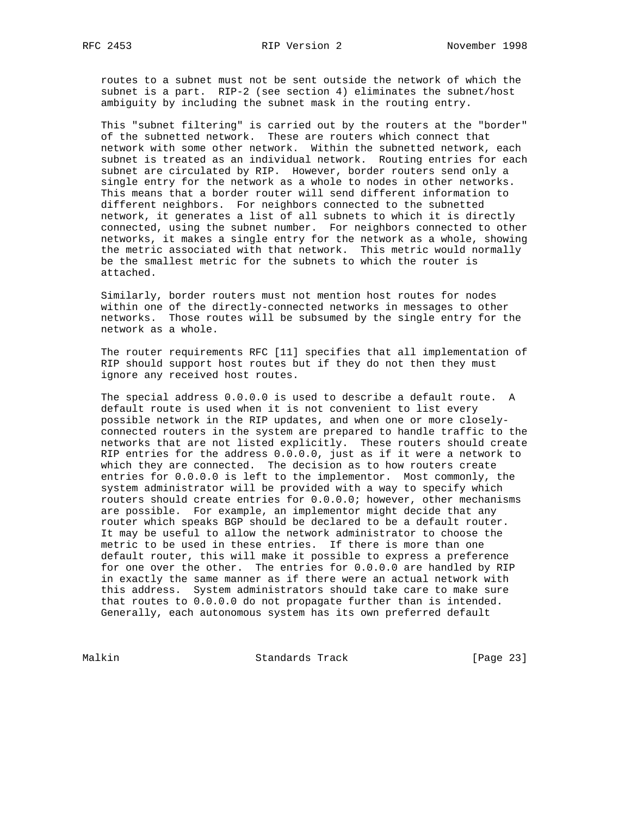routes to a subnet must not be sent outside the network of which the subnet is a part. RIP-2 (see section 4) eliminates the subnet/host ambiguity by including the subnet mask in the routing entry.

This "subnet filtering" is carried out by the routers at the "border" of the subnetted network. These are routers which connect that network with some other network. Within the subnetted network, each subnet is treated as an individual network. Routing entries for each subnet are circulated by RIP. However, border routers send only a single entry for the network as a whole to nodes in other networks. This means that a border router will send different information to different neighbors. For neighbors connected to the subnetted network, it generates a list of all subnets to which it is directly connected, using the subnet number. For neighbors connected to other networks, it makes a single entry for the network as a whole, showing the metric associated with that network. This metric would normally be the smallest metric for the subnets to which the router is attached.

 Similarly, border routers must not mention host routes for nodes within one of the directly-connected networks in messages to other networks. Those routes will be subsumed by the single entry for the network as a whole.

 The router requirements RFC [11] specifies that all implementation of RIP should support host routes but if they do not then they must ignore any received host routes.

 The special address 0.0.0.0 is used to describe a default route. A default route is used when it is not convenient to list every possible network in the RIP updates, and when one or more closely connected routers in the system are prepared to handle traffic to the networks that are not listed explicitly. These routers should create RIP entries for the address 0.0.0.0, just as if it were a network to which they are connected. The decision as to how routers create entries for 0.0.0.0 is left to the implementor. Most commonly, the system administrator will be provided with a way to specify which routers should create entries for 0.0.0.0; however, other mechanisms are possible. For example, an implementor might decide that any router which speaks BGP should be declared to be a default router. It may be useful to allow the network administrator to choose the metric to be used in these entries. If there is more than one default router, this will make it possible to express a preference for one over the other. The entries for 0.0.0.0 are handled by RIP in exactly the same manner as if there were an actual network with this address. System administrators should take care to make sure that routes to 0.0.0.0 do not propagate further than is intended. Generally, each autonomous system has its own preferred default

Malkin Standards Track [Page 23]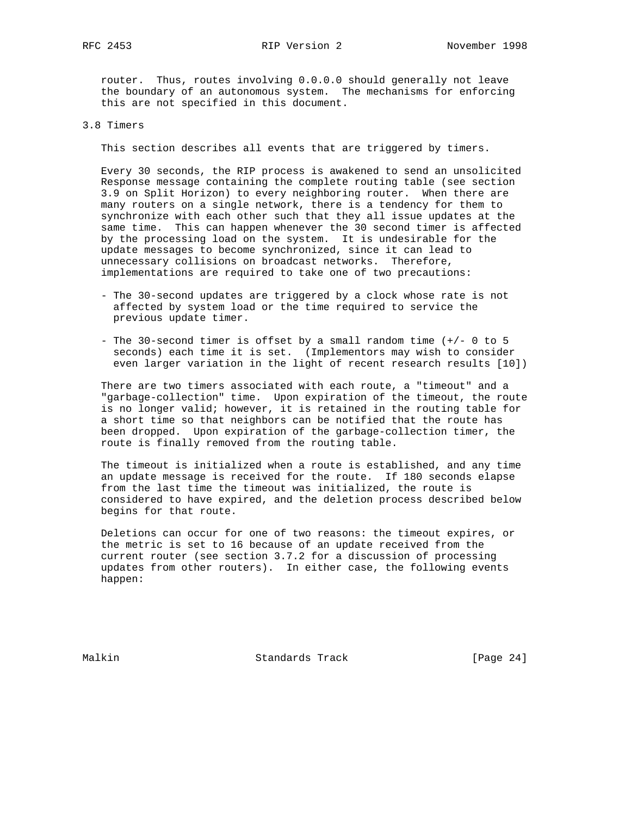router. Thus, routes involving 0.0.0.0 should generally not leave the boundary of an autonomous system. The mechanisms for enforcing this are not specified in this document.

# 3.8 Timers

This section describes all events that are triggered by timers.

 Every 30 seconds, the RIP process is awakened to send an unsolicited Response message containing the complete routing table (see section 3.9 on Split Horizon) to every neighboring router. When there are many routers on a single network, there is a tendency for them to synchronize with each other such that they all issue updates at the same time. This can happen whenever the 30 second timer is affected by the processing load on the system. It is undesirable for the update messages to become synchronized, since it can lead to unnecessary collisions on broadcast networks. Therefore, implementations are required to take one of two precautions:

- The 30-second updates are triggered by a clock whose rate is not affected by system load or the time required to service the previous update timer.
- The 30-second timer is offset by a small random time (+/- 0 to 5 seconds) each time it is set. (Implementors may wish to consider even larger variation in the light of recent research results [10])

 There are two timers associated with each route, a "timeout" and a "garbage-collection" time. Upon expiration of the timeout, the route is no longer valid; however, it is retained in the routing table for a short time so that neighbors can be notified that the route has been dropped. Upon expiration of the garbage-collection timer, the route is finally removed from the routing table.

 The timeout is initialized when a route is established, and any time an update message is received for the route. If 180 seconds elapse from the last time the timeout was initialized, the route is considered to have expired, and the deletion process described below begins for that route.

 Deletions can occur for one of two reasons: the timeout expires, or the metric is set to 16 because of an update received from the current router (see section 3.7.2 for a discussion of processing updates from other routers). In either case, the following events happen:

Malkin Standards Track [Page 24]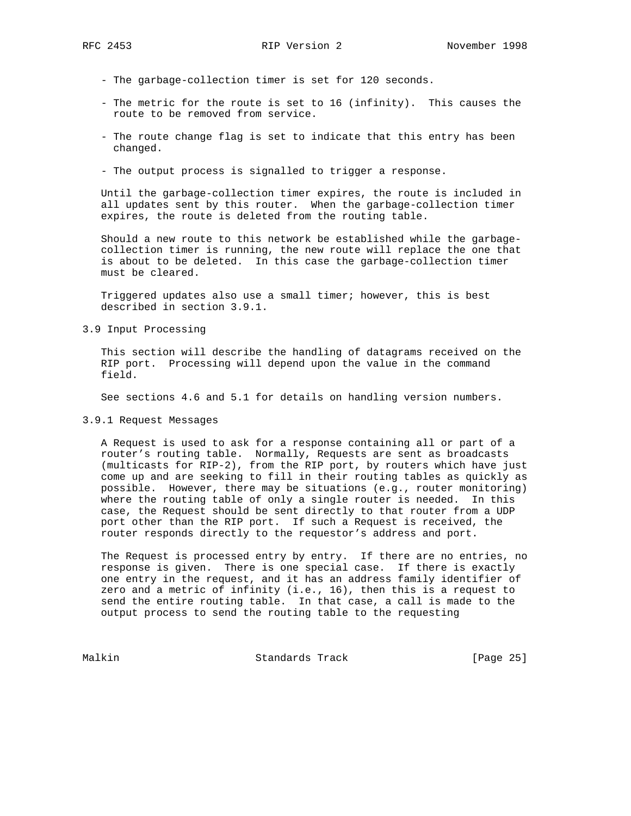- The garbage-collection timer is set for 120 seconds.
- The metric for the route is set to 16 (infinity). This causes the route to be removed from service.
- The route change flag is set to indicate that this entry has been changed.
- The output process is signalled to trigger a response.

 Until the garbage-collection timer expires, the route is included in all updates sent by this router. When the garbage-collection timer expires, the route is deleted from the routing table.

 Should a new route to this network be established while the garbage collection timer is running, the new route will replace the one that is about to be deleted. In this case the garbage-collection timer must be cleared.

 Triggered updates also use a small timer; however, this is best described in section 3.9.1.

3.9 Input Processing

 This section will describe the handling of datagrams received on the RIP port. Processing will depend upon the value in the command field.

See sections 4.6 and 5.1 for details on handling version numbers.

3.9.1 Request Messages

 A Request is used to ask for a response containing all or part of a router's routing table. Normally, Requests are sent as broadcasts (multicasts for RIP-2), from the RIP port, by routers which have just come up and are seeking to fill in their routing tables as quickly as possible. However, there may be situations (e.g., router monitoring) where the routing table of only a single router is needed. In this case, the Request should be sent directly to that router from a UDP port other than the RIP port. If such a Request is received, the router responds directly to the requestor's address and port.

 The Request is processed entry by entry. If there are no entries, no response is given. There is one special case. If there is exactly one entry in the request, and it has an address family identifier of zero and a metric of infinity (i.e., 16), then this is a request to send the entire routing table. In that case, a call is made to the output process to send the routing table to the requesting

Malkin Standards Track [Page 25]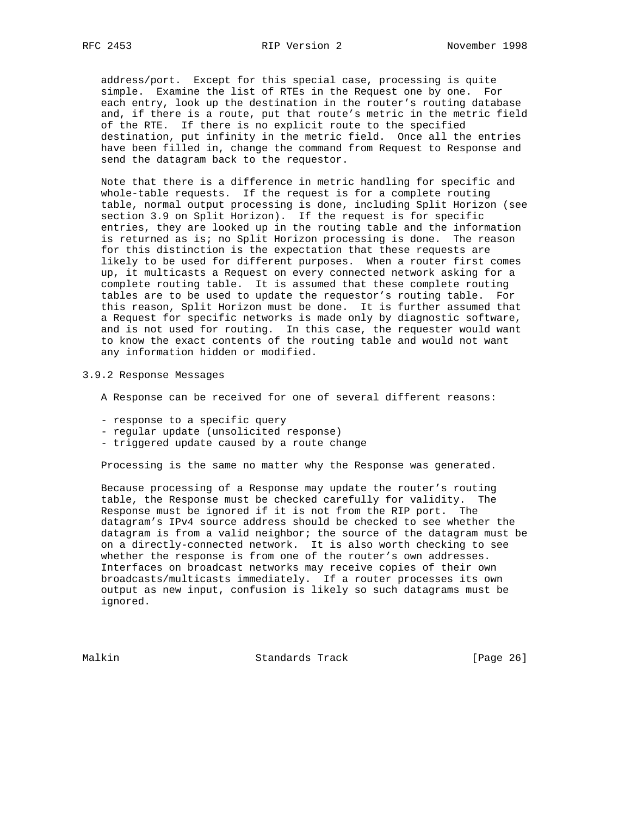address/port. Except for this special case, processing is quite simple. Examine the list of RTEs in the Request one by one. For each entry, look up the destination in the router's routing database and, if there is a route, put that route's metric in the metric field of the RTE. If there is no explicit route to the specified destination, put infinity in the metric field. Once all the entries have been filled in, change the command from Request to Response and send the datagram back to the requestor.

 Note that there is a difference in metric handling for specific and whole-table requests. If the request is for a complete routing table, normal output processing is done, including Split Horizon (see section 3.9 on Split Horizon). If the request is for specific entries, they are looked up in the routing table and the information is returned as is; no Split Horizon processing is done. The reason for this distinction is the expectation that these requests are likely to be used for different purposes. When a router first comes up, it multicasts a Request on every connected network asking for a complete routing table. It is assumed that these complete routing tables are to be used to update the requestor's routing table. For this reason, Split Horizon must be done. It is further assumed that a Request for specific networks is made only by diagnostic software, and is not used for routing. In this case, the requester would want to know the exact contents of the routing table and would not want any information hidden or modified.

#### 3.9.2 Response Messages

- A Response can be received for one of several different reasons:
- response to a specific query
- regular update (unsolicited response)
- triggered update caused by a route change

Processing is the same no matter why the Response was generated.

 Because processing of a Response may update the router's routing table, the Response must be checked carefully for validity. The Response must be ignored if it is not from the RIP port. The datagram's IPv4 source address should be checked to see whether the datagram is from a valid neighbor; the source of the datagram must be on a directly-connected network. It is also worth checking to see whether the response is from one of the router's own addresses. Interfaces on broadcast networks may receive copies of their own broadcasts/multicasts immediately. If a router processes its own output as new input, confusion is likely so such datagrams must be ignored.

Malkin Standards Track [Page 26]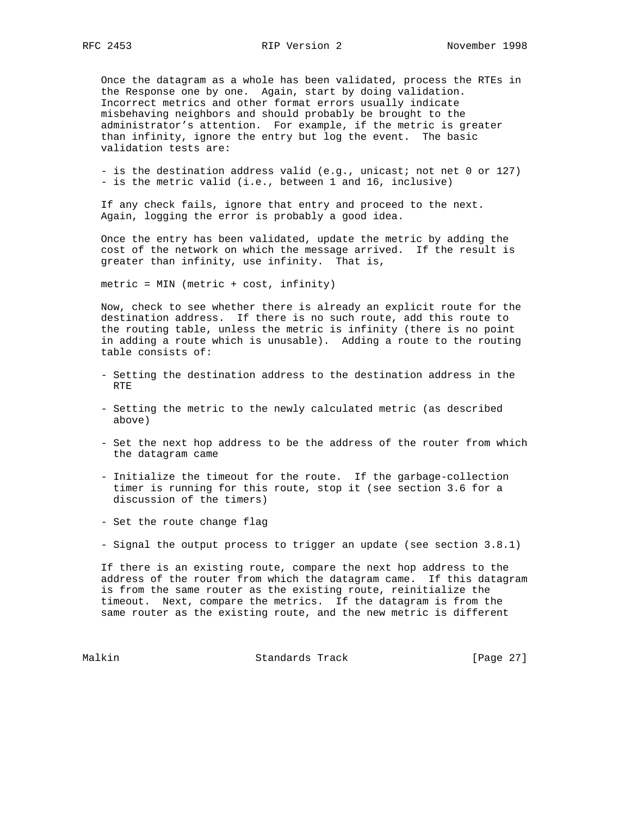Once the datagram as a whole has been validated, process the RTEs in the Response one by one. Again, start by doing validation. Incorrect metrics and other format errors usually indicate misbehaving neighbors and should probably be brought to the administrator's attention. For example, if the metric is greater than infinity, ignore the entry but log the event. The basic validation tests are:

- is the destination address valid (e.g., unicast; not net 0 or 127) - is the metric valid (i.e., between 1 and 16, inclusive)

 If any check fails, ignore that entry and proceed to the next. Again, logging the error is probably a good idea.

 Once the entry has been validated, update the metric by adding the cost of the network on which the message arrived. If the result is greater than infinity, use infinity. That is,

metric = MIN (metric + cost, infinity)

 Now, check to see whether there is already an explicit route for the destination address. If there is no such route, add this route to the routing table, unless the metric is infinity (there is no point in adding a route which is unusable). Adding a route to the routing table consists of:

- Setting the destination address to the destination address in the RTE
- Setting the metric to the newly calculated metric (as described above)
- Set the next hop address to be the address of the router from which the datagram came
- Initialize the timeout for the route. If the garbage-collection timer is running for this route, stop it (see section 3.6 for a discussion of the timers)
- Set the route change flag
- Signal the output process to trigger an update (see section 3.8.1)

 If there is an existing route, compare the next hop address to the address of the router from which the datagram came. If this datagram is from the same router as the existing route, reinitialize the timeout. Next, compare the metrics. If the datagram is from the same router as the existing route, and the new metric is different

Malkin Standards Track [Page 27]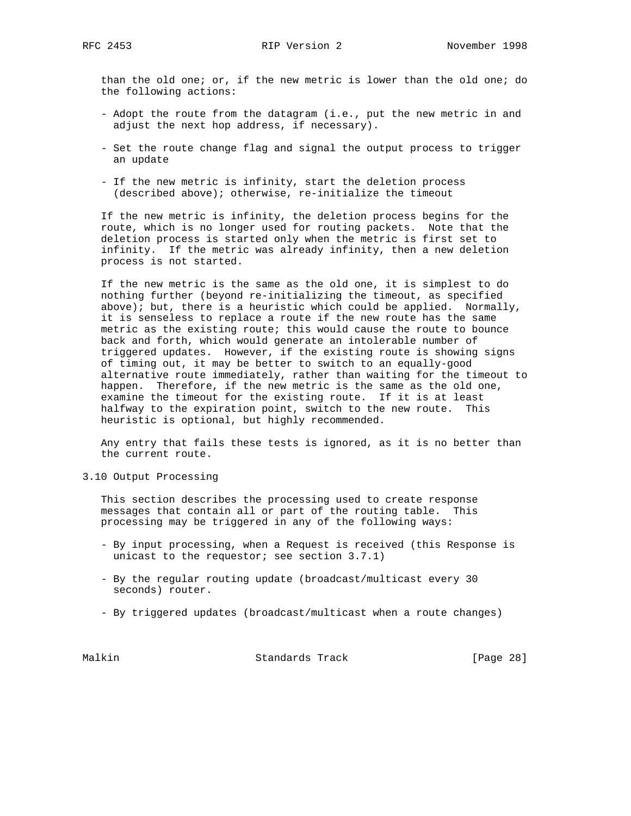than the old one; or, if the new metric is lower than the old one; do the following actions:

- Adopt the route from the datagram (i.e., put the new metric in and adjust the next hop address, if necessary).
- Set the route change flag and signal the output process to trigger an update
- If the new metric is infinity, start the deletion process (described above); otherwise, re-initialize the timeout

 If the new metric is infinity, the deletion process begins for the route, which is no longer used for routing packets. Note that the deletion process is started only when the metric is first set to infinity. If the metric was already infinity, then a new deletion process is not started.

 If the new metric is the same as the old one, it is simplest to do nothing further (beyond re-initializing the timeout, as specified above); but, there is a heuristic which could be applied. Normally, it is senseless to replace a route if the new route has the same metric as the existing route; this would cause the route to bounce back and forth, which would generate an intolerable number of triggered updates. However, if the existing route is showing signs of timing out, it may be better to switch to an equally-good alternative route immediately, rather than waiting for the timeout to happen. Therefore, if the new metric is the same as the old one, examine the timeout for the existing route. If it is at least halfway to the expiration point, switch to the new route. This heuristic is optional, but highly recommended.

 Any entry that fails these tests is ignored, as it is no better than the current route.

3.10 Output Processing

 This section describes the processing used to create response messages that contain all or part of the routing table. This processing may be triggered in any of the following ways:

- By input processing, when a Request is received (this Response is unicast to the requestor; see section 3.7.1)
- By the regular routing update (broadcast/multicast every 30 seconds) router.
- By triggered updates (broadcast/multicast when a route changes)

Malkin Standards Track [Page 28]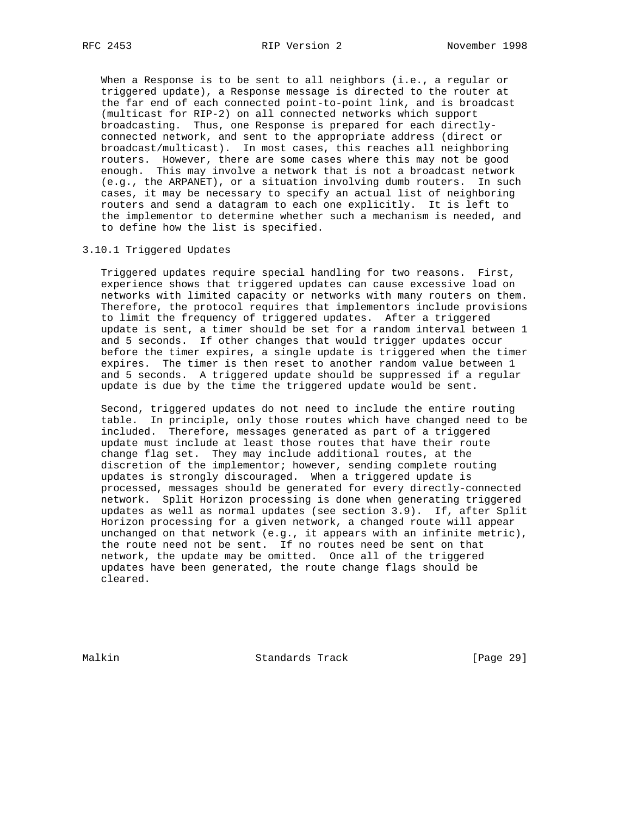When a Response is to be sent to all neighbors (i.e., a regular or triggered update), a Response message is directed to the router at the far end of each connected point-to-point link, and is broadcast (multicast for RIP-2) on all connected networks which support broadcasting. Thus, one Response is prepared for each directly connected network, and sent to the appropriate address (direct or broadcast/multicast). In most cases, this reaches all neighboring routers. However, there are some cases where this may not be good enough. This may involve a network that is not a broadcast network (e.g., the ARPANET), or a situation involving dumb routers. In such cases, it may be necessary to specify an actual list of neighboring routers and send a datagram to each one explicitly. It is left to the implementor to determine whether such a mechanism is needed, and to define how the list is specified.

# 3.10.1 Triggered Updates

 Triggered updates require special handling for two reasons. First, experience shows that triggered updates can cause excessive load on networks with limited capacity or networks with many routers on them. Therefore, the protocol requires that implementors include provisions to limit the frequency of triggered updates. After a triggered update is sent, a timer should be set for a random interval between 1 and 5 seconds. If other changes that would trigger updates occur before the timer expires, a single update is triggered when the timer expires. The timer is then reset to another random value between 1 and 5 seconds. A triggered update should be suppressed if a regular update is due by the time the triggered update would be sent.

 Second, triggered updates do not need to include the entire routing table. In principle, only those routes which have changed need to be included. Therefore, messages generated as part of a triggered update must include at least those routes that have their route change flag set. They may include additional routes, at the discretion of the implementor; however, sending complete routing updates is strongly discouraged. When a triggered update is processed, messages should be generated for every directly-connected network. Split Horizon processing is done when generating triggered updates as well as normal updates (see section 3.9). If, after Split Horizon processing for a given network, a changed route will appear unchanged on that network (e.g., it appears with an infinite metric), the route need not be sent. If no routes need be sent on that network, the update may be omitted. Once all of the triggered updates have been generated, the route change flags should be cleared.

Malkin Standards Track [Page 29]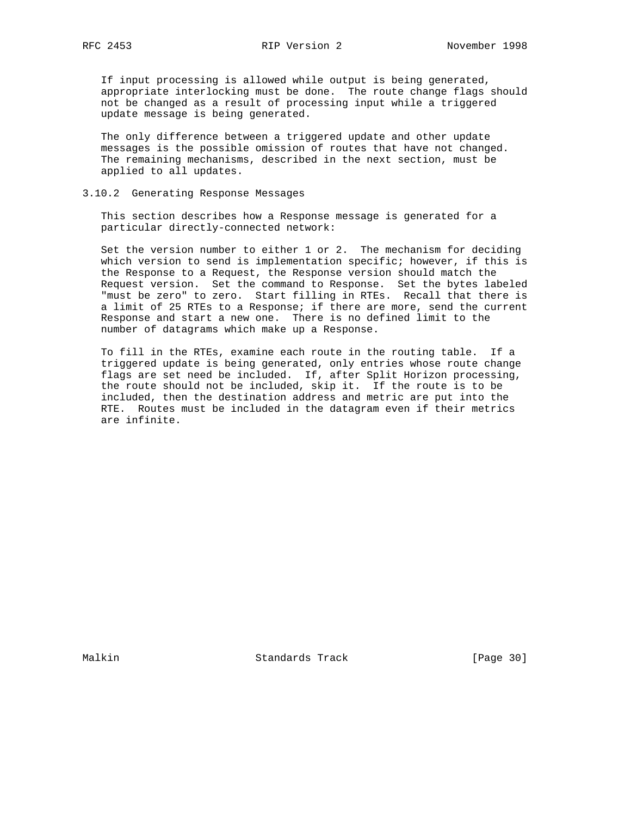If input processing is allowed while output is being generated, appropriate interlocking must be done. The route change flags should not be changed as a result of processing input while a triggered update message is being generated.

 The only difference between a triggered update and other update messages is the possible omission of routes that have not changed. The remaining mechanisms, described in the next section, must be applied to all updates.

# 3.10.2 Generating Response Messages

 This section describes how a Response message is generated for a particular directly-connected network:

 Set the version number to either 1 or 2. The mechanism for deciding which version to send is implementation specific; however, if this is the Response to a Request, the Response version should match the Request version. Set the command to Response. Set the bytes labeled "must be zero" to zero. Start filling in RTEs. Recall that there is a limit of 25 RTEs to a Response; if there are more, send the current Response and start a new one. There is no defined limit to the number of datagrams which make up a Response.

 To fill in the RTEs, examine each route in the routing table. If a triggered update is being generated, only entries whose route change flags are set need be included. If, after Split Horizon processing, the route should not be included, skip it. If the route is to be included, then the destination address and metric are put into the RTE. Routes must be included in the datagram even if their metrics are infinite.

Malkin Standards Track [Page 30]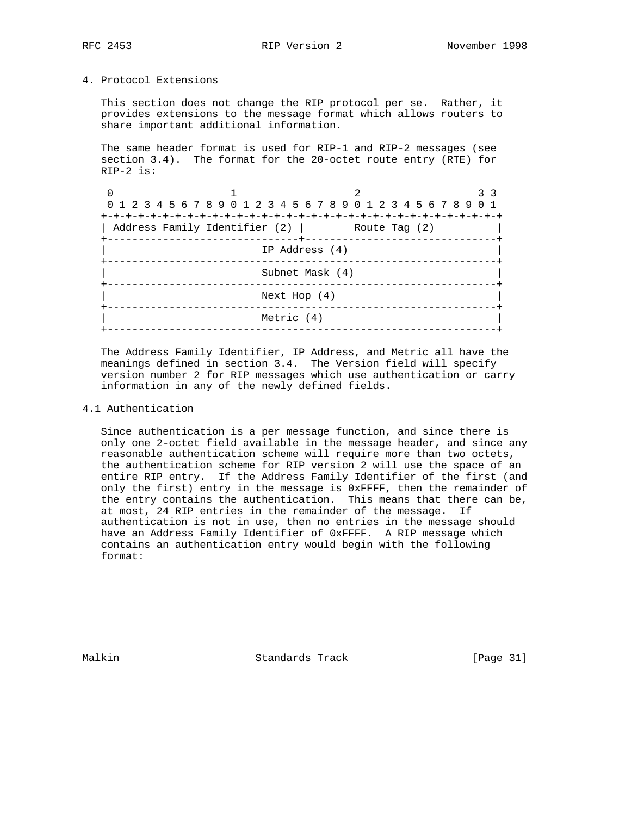# 4. Protocol Extensions

 This section does not change the RIP protocol per se. Rather, it provides extensions to the message format which allows routers to share important additional information.

 The same header format is used for RIP-1 and RIP-2 messages (see section 3.4). The format for the 20-octet route entry (RTE) for RIP-2 is:

|                 | 0 1 2 3 4 5 6 7 8 9 0 1 2 3 4 5 6 7 8 9 0 1 2 3 4 5 6 7 8 9 0 1<br>Address Family Identifier (2)   Route Tag (2) |            |  |  |  |
|-----------------|------------------------------------------------------------------------------------------------------------------|------------|--|--|--|
|                 | IP Address (4)                                                                                                   |            |  |  |  |
| Subnet Mask (4) |                                                                                                                  |            |  |  |  |
| Next Hop $(4)$  |                                                                                                                  |            |  |  |  |
|                 |                                                                                                                  | Metric (4) |  |  |  |
|                 |                                                                                                                  |            |  |  |  |

 The Address Family Identifier, IP Address, and Metric all have the meanings defined in section 3.4. The Version field will specify version number 2 for RIP messages which use authentication or carry information in any of the newly defined fields.

# 4.1 Authentication

 Since authentication is a per message function, and since there is only one 2-octet field available in the message header, and since any reasonable authentication scheme will require more than two octets, the authentication scheme for RIP version 2 will use the space of an entire RIP entry. If the Address Family Identifier of the first (and only the first) entry in the message is 0xFFFF, then the remainder of the entry contains the authentication. This means that there can be, at most, 24 RIP entries in the remainder of the message. If authentication is not in use, then no entries in the message should have an Address Family Identifier of 0xFFFF. A RIP message which contains an authentication entry would begin with the following format:

Malkin **Standards Track** [Page 31]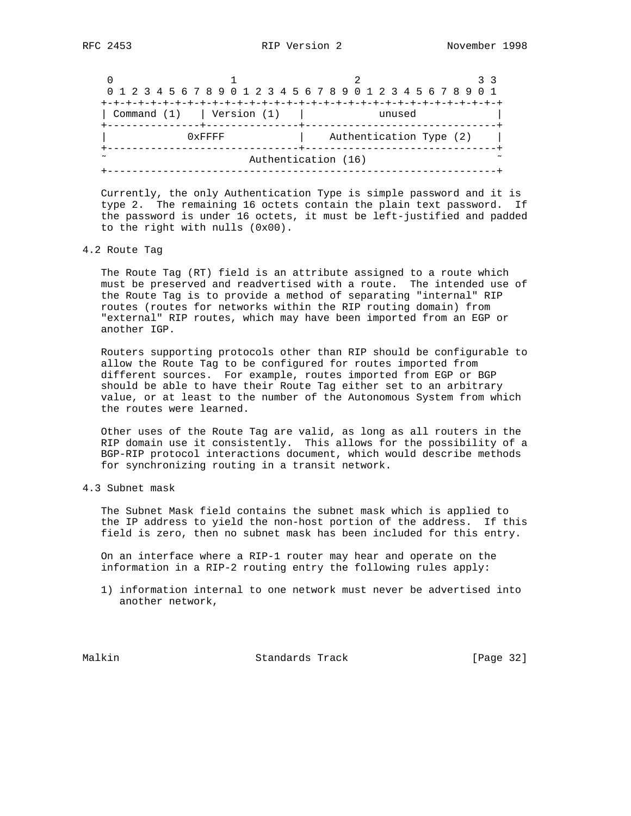|                               |           | 0 1 2 3 4 5 6 7 8 9 0 1 2 3 4 5 6 7 8 9 0 1 2 3 4 5 6 7 8 9 0 1 |  |  |
|-------------------------------|-----------|-----------------------------------------------------------------|--|--|
|                               |           |                                                                 |  |  |
| Command $(1)$   Version $(1)$ |           | unused                                                          |  |  |
|                               | $0x$ FFFF | Authentication Type (2)                                         |  |  |
| Authentication (16)           |           |                                                                 |  |  |
|                               |           |                                                                 |  |  |

 Currently, the only Authentication Type is simple password and it is type 2. The remaining 16 octets contain the plain text password. If the password is under 16 octets, it must be left-justified and padded to the right with nulls (0x00).

# 4.2 Route Tag

 The Route Tag (RT) field is an attribute assigned to a route which must be preserved and readvertised with a route. The intended use of the Route Tag is to provide a method of separating "internal" RIP routes (routes for networks within the RIP routing domain) from "external" RIP routes, which may have been imported from an EGP or another IGP.

 Routers supporting protocols other than RIP should be configurable to allow the Route Tag to be configured for routes imported from different sources. For example, routes imported from EGP or BGP should be able to have their Route Tag either set to an arbitrary value, or at least to the number of the Autonomous System from which the routes were learned.

 Other uses of the Route Tag are valid, as long as all routers in the RIP domain use it consistently. This allows for the possibility of a BGP-RIP protocol interactions document, which would describe methods for synchronizing routing in a transit network.

4.3 Subnet mask

 The Subnet Mask field contains the subnet mask which is applied to the IP address to yield the non-host portion of the address. If this field is zero, then no subnet mask has been included for this entry.

 On an interface where a RIP-1 router may hear and operate on the information in a RIP-2 routing entry the following rules apply:

 1) information internal to one network must never be advertised into another network,

Malkin Standards Track [Page 32]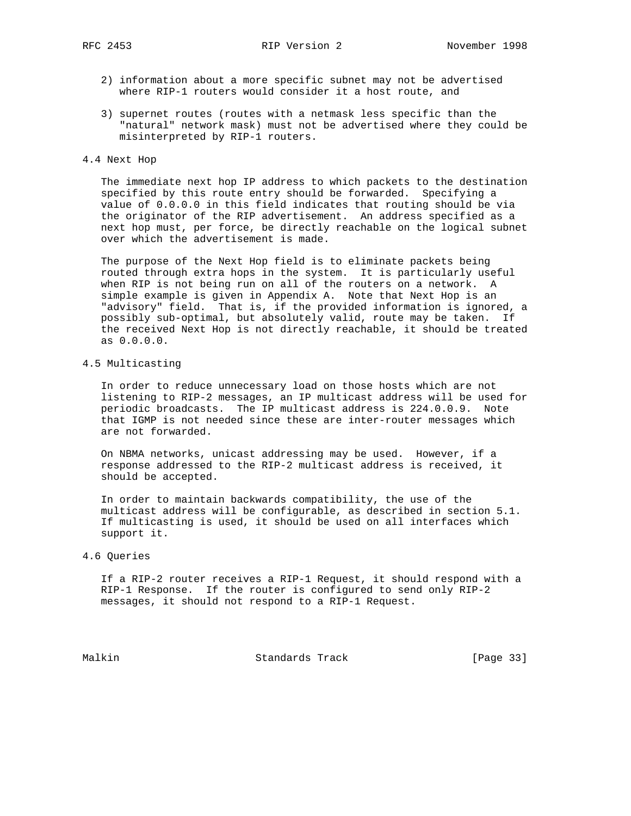- 2) information about a more specific subnet may not be advertised where RIP-1 routers would consider it a host route, and
- 3) supernet routes (routes with a netmask less specific than the "natural" network mask) must not be advertised where they could be misinterpreted by RIP-1 routers.

#### 4.4 Next Hop

 The immediate next hop IP address to which packets to the destination specified by this route entry should be forwarded. Specifying a value of 0.0.0.0 in this field indicates that routing should be via the originator of the RIP advertisement. An address specified as a next hop must, per force, be directly reachable on the logical subnet over which the advertisement is made.

 The purpose of the Next Hop field is to eliminate packets being routed through extra hops in the system. It is particularly useful when RIP is not being run on all of the routers on a network. A simple example is given in Appendix A. Note that Next Hop is an "advisory" field. That is, if the provided information is ignored, a possibly sub-optimal, but absolutely valid, route may be taken. If the received Next Hop is not directly reachable, it should be treated as 0.0.0.0.

# 4.5 Multicasting

 In order to reduce unnecessary load on those hosts which are not listening to RIP-2 messages, an IP multicast address will be used for periodic broadcasts. The IP multicast address is 224.0.0.9. Note that IGMP is not needed since these are inter-router messages which are not forwarded.

 On NBMA networks, unicast addressing may be used. However, if a response addressed to the RIP-2 multicast address is received, it should be accepted.

 In order to maintain backwards compatibility, the use of the multicast address will be configurable, as described in section 5.1. If multicasting is used, it should be used on all interfaces which support it.

#### 4.6 Queries

 If a RIP-2 router receives a RIP-1 Request, it should respond with a RIP-1 Response. If the router is configured to send only RIP-2 messages, it should not respond to a RIP-1 Request.

Malkin Standards Track [Page 33]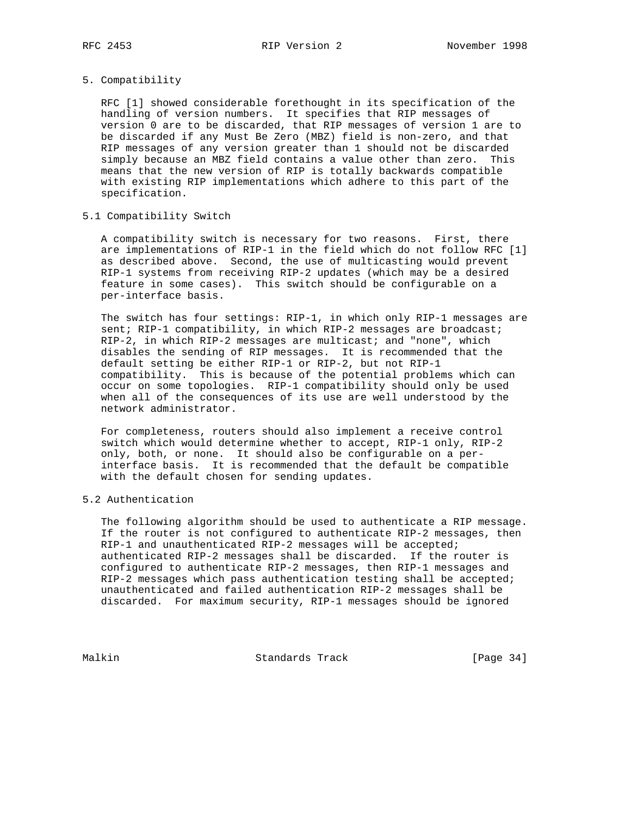# 5. Compatibility

 RFC [1] showed considerable forethought in its specification of the handling of version numbers. It specifies that RIP messages of version 0 are to be discarded, that RIP messages of version 1 are to be discarded if any Must Be Zero (MBZ) field is non-zero, and that RIP messages of any version greater than 1 should not be discarded simply because an MBZ field contains a value other than zero. This means that the new version of RIP is totally backwards compatible with existing RIP implementations which adhere to this part of the specification.

#### 5.1 Compatibility Switch

 A compatibility switch is necessary for two reasons. First, there are implementations of RIP-1 in the field which do not follow RFC [1] as described above. Second, the use of multicasting would prevent RIP-1 systems from receiving RIP-2 updates (which may be a desired feature in some cases). This switch should be configurable on a per-interface basis.

 The switch has four settings: RIP-1, in which only RIP-1 messages are sent; RIP-1 compatibility, in which RIP-2 messages are broadcast; RIP-2, in which RIP-2 messages are multicast; and "none", which disables the sending of RIP messages. It is recommended that the default setting be either RIP-1 or RIP-2, but not RIP-1 compatibility. This is because of the potential problems which can occur on some topologies. RIP-1 compatibility should only be used when all of the consequences of its use are well understood by the network administrator.

 For completeness, routers should also implement a receive control switch which would determine whether to accept, RIP-1 only, RIP-2 only, both, or none. It should also be configurable on a per interface basis. It is recommended that the default be compatible with the default chosen for sending updates.

### 5.2 Authentication

 The following algorithm should be used to authenticate a RIP message. If the router is not configured to authenticate RIP-2 messages, then RIP-1 and unauthenticated RIP-2 messages will be accepted; authenticated RIP-2 messages shall be discarded. If the router is configured to authenticate RIP-2 messages, then RIP-1 messages and RIP-2 messages which pass authentication testing shall be accepted; unauthenticated and failed authentication RIP-2 messages shall be discarded. For maximum security, RIP-1 messages should be ignored

Malkin Standards Track [Page 34]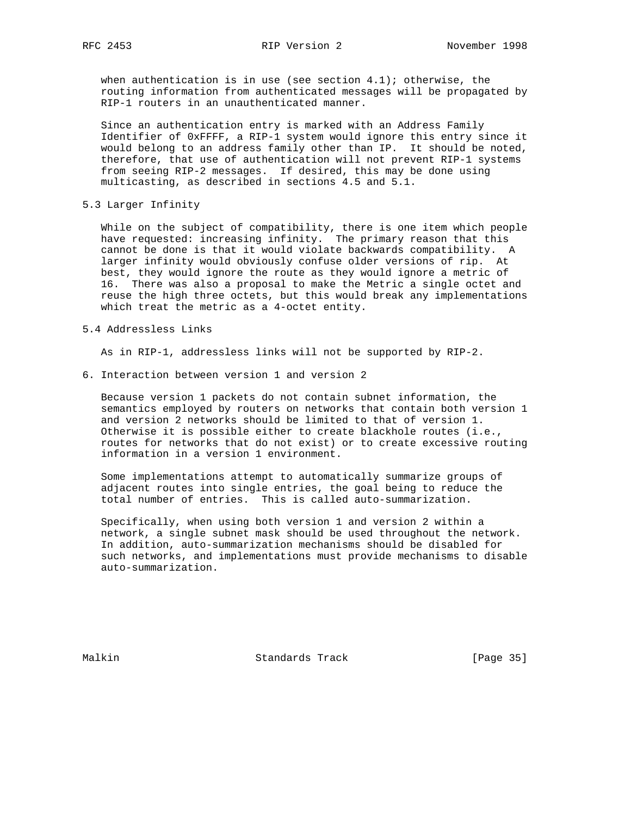when authentication is in use (see section  $4.1$ ); otherwise, the routing information from authenticated messages will be propagated by RIP-1 routers in an unauthenticated manner.

 Since an authentication entry is marked with an Address Family Identifier of 0xFFFF, a RIP-1 system would ignore this entry since it would belong to an address family other than IP. It should be noted, therefore, that use of authentication will not prevent RIP-1 systems from seeing RIP-2 messages. If desired, this may be done using multicasting, as described in sections 4.5 and 5.1.

5.3 Larger Infinity

 While on the subject of compatibility, there is one item which people have requested: increasing infinity. The primary reason that this cannot be done is that it would violate backwards compatibility. A larger infinity would obviously confuse older versions of rip. At best, they would ignore the route as they would ignore a metric of 16. There was also a proposal to make the Metric a single octet and reuse the high three octets, but this would break any implementations which treat the metric as a 4-octet entity.

### 5.4 Addressless Links

As in RIP-1, addressless links will not be supported by RIP-2.

6. Interaction between version 1 and version 2

 Because version 1 packets do not contain subnet information, the semantics employed by routers on networks that contain both version 1 and version 2 networks should be limited to that of version 1. Otherwise it is possible either to create blackhole routes (i.e., routes for networks that do not exist) or to create excessive routing information in a version 1 environment.

 Some implementations attempt to automatically summarize groups of adjacent routes into single entries, the goal being to reduce the total number of entries. This is called auto-summarization.

 Specifically, when using both version 1 and version 2 within a network, a single subnet mask should be used throughout the network. In addition, auto-summarization mechanisms should be disabled for such networks, and implementations must provide mechanisms to disable auto-summarization.

Malkin Standards Track [Page 35]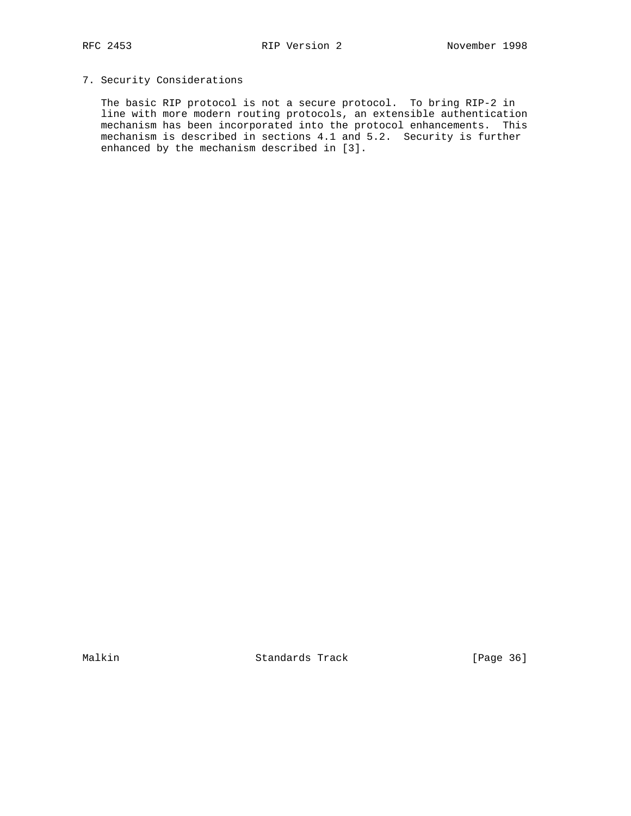# 7. Security Considerations

 The basic RIP protocol is not a secure protocol. To bring RIP-2 in line with more modern routing protocols, an extensible authentication mechanism has been incorporated into the protocol enhancements. This mechanism is described in sections 4.1 and 5.2. Security is further enhanced by the mechanism described in [3].

Malkin Standards Track [Page 36]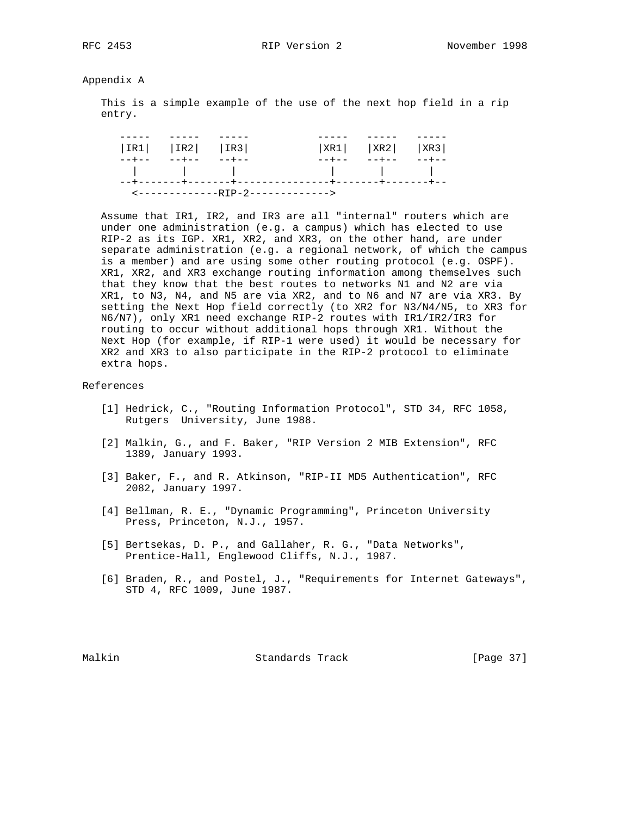Appendix A

 This is a simple example of the use of the next hop field in a rip entry.

|  | $ IR1 $ $ IR2 $ $ IR3 $ |       |                                                                                                                 | $ XR1 $ $ XR2 $ $ XR3 $ |  |
|--|-------------------------|-------|-----------------------------------------------------------------------------------------------------------------|-------------------------|--|
|  | $--+------$             | ————— |                                                                                                                 |                         |  |
|  |                         |       | the contract of the contract of the contract of the contract of the contract of the contract of the contract of |                         |  |
|  |                         |       |                                                                                                                 |                         |  |
|  |                         |       | $\leftarrow$ --------------RTP-2------------->                                                                  |                         |  |

 Assume that IR1, IR2, and IR3 are all "internal" routers which are under one administration (e.g. a campus) which has elected to use RIP-2 as its IGP. XR1, XR2, and XR3, on the other hand, are under separate administration (e.g. a regional network, of which the campus is a member) and are using some other routing protocol (e.g. OSPF). XR1, XR2, and XR3 exchange routing information among themselves such that they know that the best routes to networks N1 and N2 are via XR1, to N3, N4, and N5 are via XR2, and to N6 and N7 are via XR3. By setting the Next Hop field correctly (to XR2 for N3/N4/N5, to XR3 for N6/N7), only XR1 need exchange RIP-2 routes with IR1/IR2/IR3 for routing to occur without additional hops through XR1. Without the Next Hop (for example, if RIP-1 were used) it would be necessary for XR2 and XR3 to also participate in the RIP-2 protocol to eliminate extra hops.

# References

- [1] Hedrick, C., "Routing Information Protocol", STD 34, RFC 1058, Rutgers University, June 1988.
- [2] Malkin, G., and F. Baker, "RIP Version 2 MIB Extension", RFC 1389, January 1993.
- [3] Baker, F., and R. Atkinson, "RIP-II MD5 Authentication", RFC 2082, January 1997.
- [4] Bellman, R. E., "Dynamic Programming", Princeton University Press, Princeton, N.J., 1957.
- [5] Bertsekas, D. P., and Gallaher, R. G., "Data Networks", Prentice-Hall, Englewood Cliffs, N.J., 1987.
- [6] Braden, R., and Postel, J., "Requirements for Internet Gateways", STD 4, RFC 1009, June 1987.

Malkin Standards Track [Page 37]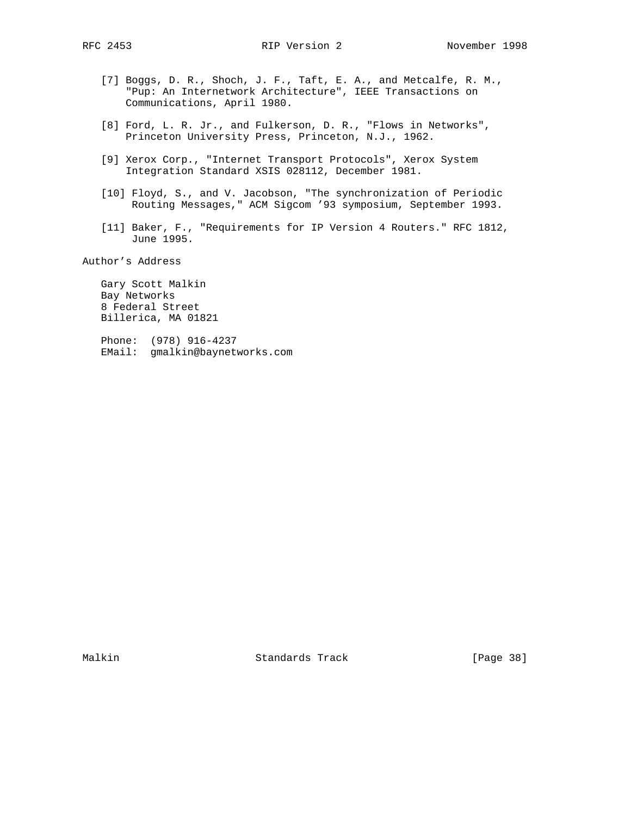- [7] Boggs, D. R., Shoch, J. F., Taft, E. A., and Metcalfe, R. M., "Pup: An Internetwork Architecture", IEEE Transactions on Communications, April 1980.
- [8] Ford, L. R. Jr., and Fulkerson, D. R., "Flows in Networks", Princeton University Press, Princeton, N.J., 1962.
- [9] Xerox Corp., "Internet Transport Protocols", Xerox System Integration Standard XSIS 028112, December 1981.
- [10] Floyd, S., and V. Jacobson, "The synchronization of Periodic Routing Messages," ACM Sigcom '93 symposium, September 1993.
- [11] Baker, F., "Requirements for IP Version 4 Routers." RFC 1812, June 1995.

Author's Address

 Gary Scott Malkin Bay Networks 8 Federal Street Billerica, MA 01821

 Phone: (978) 916-4237 EMail: gmalkin@baynetworks.com

Malkin Standards Track [Page 38]